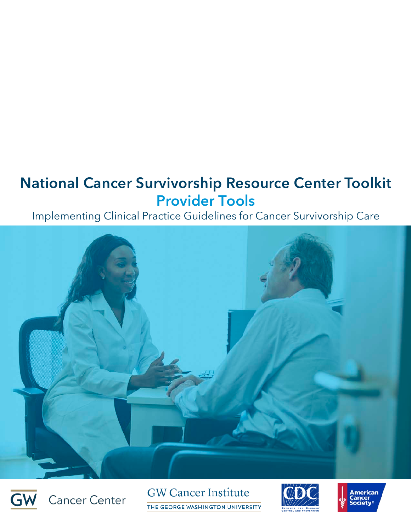# National Cancer Survivorship Resource Center Toolkit Provider Tools

# Implementing Clinical Practice Guidelines for Cancer Survivorship Care





**GW Cancer Institute** THE GEORGE WASHINGTON UNIVERSITY



**American**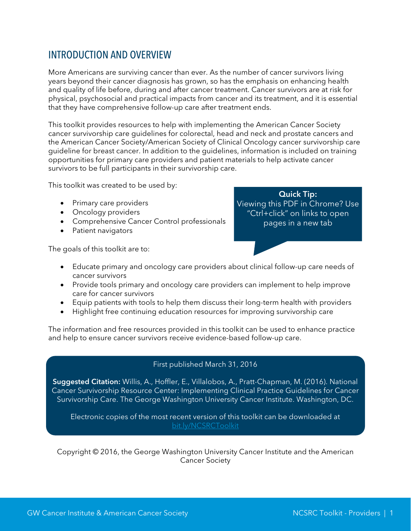### INTRODUCTION AND OVERVIEW

More Americans are surviving cancer than ever. As the number of cancer survivors living years beyond their cancer diagnosis has grown, so has the emphasis on enhancing health and quality of life before, during and after cancer treatment. Cancer survivors are at risk for physical, psychosocial and practical impacts from cancer and its treatment, and it is essential that they have comprehensive follow-up care after treatment ends.

This toolkit provides resources to help with implementing the American Cancer Society cancer survivorship care guidelines for colorectal, head and neck and prostate cancers and the American Cancer Society/American Society of Clinical Oncology cancer survivorship care guideline for breast cancer. In addition to the guidelines, information is included on training opportunities for primary care providers and patient materials to help activate cancer survivors to be full participants in their survivorship care.

This toolkit was created to be used by:

- Primary care providers
- Oncology providers
- Comprehensive Cancer Control professionals
- Patient navigators

The goals of this toolkit are to:

Quick Tip: Viewing this PDF in Chrome? Use "Ctrl+click" on links to open pages in a new tab

- Educate primary and oncology care providers about clinical follow-up care needs of cancer survivors
- Provide tools primary and oncology care providers can implement to help improve care for cancer survivors
- Equip patients with tools to help them discuss their long-term health with providers
- Highlight free continuing education resources for improving survivorship care

The information and free resources provided in this toolkit can be used to enhance practice and help to ensure cancer survivors receive evidence-based follow-up care.

#### First published March 31, 2016

Suggested Citation: Willis, A., Hoffler, E., Villalobos, A., Pratt-Chapman, M. (2016). National Cancer Survivorship Resource Center: Implementing Clinical Practice Guidelines for Cancer Survivorship Care. The George Washington University Cancer Institute. Washington, DC.

Electronic copies of the most recent version of this toolkit can be downloaded at [bit.ly/NCSRCToolkit](http://smhs.gwu.edu/gwci/reports)

Copyright © 2016, the George Washington University Cancer Institute and the American Cancer Society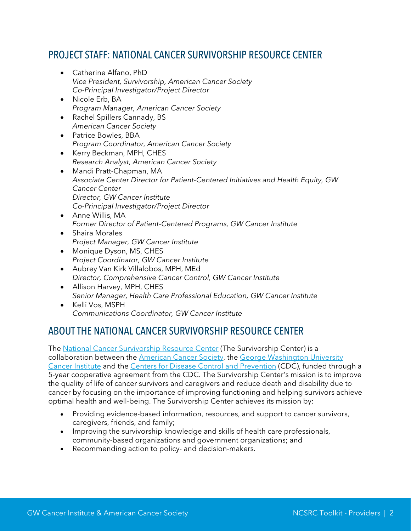### PROJECT STAFF: NATIONAL CANCER SURVIVORSHIP RESOURCE CENTER

- Catherine Alfano, PhD *Vice President, Survivorship, American Cancer Society Co-Principal Investigator/Project Director*
- Nicole Erb, BA *Program Manager, American Cancer Society*
- Rachel Spillers Cannady, BS *American Cancer Society*
- Patrice Bowles, BBA *Program Coordinator, American Cancer Society*
- Kerry Beckman, MPH, CHES *Research Analyst, American Cancer Society*
- Mandi Pratt-Chapman, MA *Associate Center Director for Patient-Centered Initiatives and Health Equity, GW Cancer Center Director, GW Cancer Institute Co-Principal Investigator/Project Director*
- Anne Willis, MA *Former Director of Patient-Centered Programs, GW Cancer Institute*
- Shaira Morales *Project Manager, GW Cancer Institute*
- Monique Dyson, MS, CHES *Project Coordinator, GW Cancer Institute*
- Aubrey Van Kirk Villalobos, MPH, MEd *Director, Comprehensive Cancer Control, GW Cancer Institute*
- Allison Harvey, MPH, CHES *Senior Manager, Health Care Professional Education, GW Cancer Institute*
- Kelli Vos, MSPH *Communications Coordinator, GW Cancer Institute*

# ABOUT THE NATIONAL CANCER SURVIVORSHIP RESOURCE CENTER

The [National Cancer Survivorship Resource Center](http://www.cancer.org/treatment/survivorshipduringandaftertreatment/nationalcancersurvivorshipresourcecenter/index) (The Survivorship Center) is a collaboration between the [American Cancer Society,](http://www.cancer.org/) the George Washington University [Cancer Institute](http://gwcancerinstitute.org/) and the [Centers for Disease Control and Prevention](http://www.cdc.gov/) (CDC), funded through a 5-year cooperative agreement from the CDC. The Survivorship Center's mission is to improve the quality of life of cancer survivors and caregivers and reduce death and disability due to cancer by focusing on the importance of improving functioning and helping survivors achieve optimal health and well-being. The Survivorship Center achieves its mission by:

- Providing evidence-based information, resources, and support to cancer survivors, caregivers, friends, and family;
- Improving the survivorship knowledge and skills of health care professionals, community-based organizations and government organizations; and
- Recommending action to policy- and decision-makers.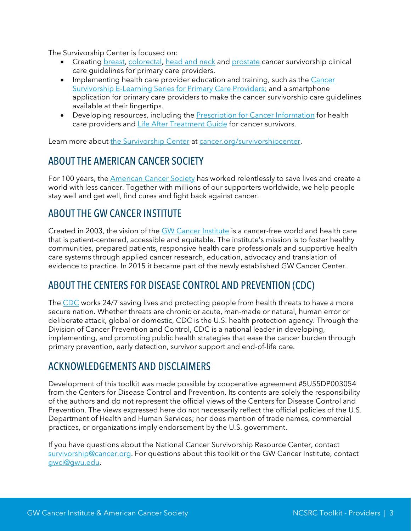The Survivorship Center is focused on:

- Creating [breast,](http://onlinelibrary.wiley.com/doi/10.3322/caac.21319/abstract) [colorectal,](http://onlinelibrary.wiley.com/doi/10.3322/caac.21286/full) [head and neck](http://bit.ly/acsheadneck) and [prostate](http://bit.ly/ACSPrCa) cancer survivorship clinical care guidelines for primary care providers.
- Implementing health care provider education and training, such as the Cancer [Survivorship E-Learning Series for Primary Care Providers;](http://gwcehp.learnercommunity.com/elearning-series) and a smartphone application for primary care providers to make the cancer survivorship care guidelines available at their fingertips.
- Developing resources, including the [Prescription for Cancer Information](http://www.cancer.org/treatment/survivorshipduringandaftertreatment/nationalcancersurvivorshipresourcecenter/toolsforhealthcareprofessionals/index) for health care providers and [Life After Treatment Guide](http://www.cancer.org/treatment/survivorshipduringandaftertreatment/nationalcancersurvivorshipresourcecenter/toolsforcandersruvivorsandcaregivers/index) for cancer survivors.

Learn more about [the Survivorship Center](http://www.cancer.org/survivorshipcenter) at [cancer.org/survivorshipcenter.](http://cancer.org/survivorshipcenter)

### ABOUT THE AMERICAN CANCER SOCIETY

For 100 years, the [American Cancer Society](http://www.cancer.org/) has worked relentlessly to save lives and create a world with less cancer. Together with millions of our supporters worldwide, we help people stay well and get well, find cures and fight back against cancer.

### ABOUT THE GW CANCER INSTITUTE

Created in 2003, the vision of the [GW Cancer Institute](http://www.gwcancerinstitute.org/) is a cancer-free world and health care that is patient-centered, accessible and equitable. The institute's mission is to foster healthy communities, prepared patients, responsive health care professionals and supportive health care systems through applied cancer research, education, advocacy and translation of evidence to practice. In 2015 it became part of the newly established GW Cancer Center.

### ABOUT THE CENTERS FOR DISEASE CONTROL AND PREVENTION (CDC)

The [CDC](http://www.cdc.gov/) works 24/7 saving lives and protecting people from health threats to have a more secure nation. Whether threats are chronic or acute, man-made or natural, human error or deliberate attack, global or domestic, CDC is the U.S. health protection agency. Through the Division of Cancer Prevention and Control, CDC is a national leader in developing, implementing, and promoting public health strategies that ease the cancer burden through primary prevention, early detection, survivor support and end-of-life care.

### ACKNOWLEDGEMENTS AND DISCLAIMERS

Development of this toolkit was made possible by cooperative agreement #5U55DP003054 from the Centers for Disease Control and Prevention. Its contents are solely the responsibility of the authors and do not represent the official views of the Centers for Disease Control and Prevention. The views expressed here do not necessarily reflect the official policies of the U.S. Department of Health and Human Services; nor does mention of trade names, commercial practices, or organizations imply endorsement by the U.S. government.

If you have questions about the National Cancer Survivorship Resource Center, contact [survivorship@cancer.org.](mailto:survivorship@cancer.org) For questions about this toolkit or the GW Cancer Institute, contact [gwci@gwu.edu.](mailto:gwci@gwu.edu)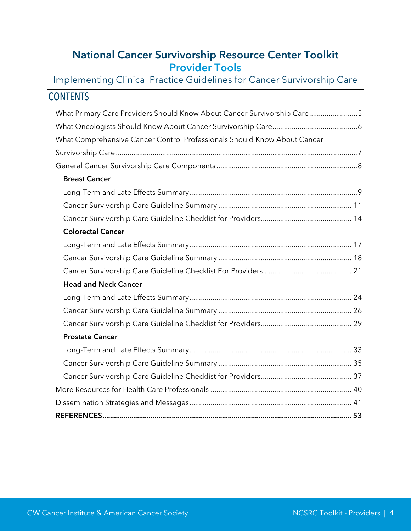## National Cancer Survivorship Resource Center Toolkit Provider Tools

Implementing Clinical Practice Guidelines for Cancer Survivorship Care

| <b>CONTENTS</b>                                                          |  |
|--------------------------------------------------------------------------|--|
| What Primary Care Providers Should Know About Cancer Survivorship Care5  |  |
|                                                                          |  |
| What Comprehensive Cancer Control Professionals Should Know About Cancer |  |
|                                                                          |  |
|                                                                          |  |
| <b>Breast Cancer</b>                                                     |  |
|                                                                          |  |
|                                                                          |  |
|                                                                          |  |
| <b>Colorectal Cancer</b>                                                 |  |
|                                                                          |  |
|                                                                          |  |
|                                                                          |  |
| <b>Head and Neck Cancer</b>                                              |  |
|                                                                          |  |
|                                                                          |  |
|                                                                          |  |
| <b>Prostate Cancer</b>                                                   |  |
|                                                                          |  |
|                                                                          |  |
|                                                                          |  |
|                                                                          |  |
|                                                                          |  |
|                                                                          |  |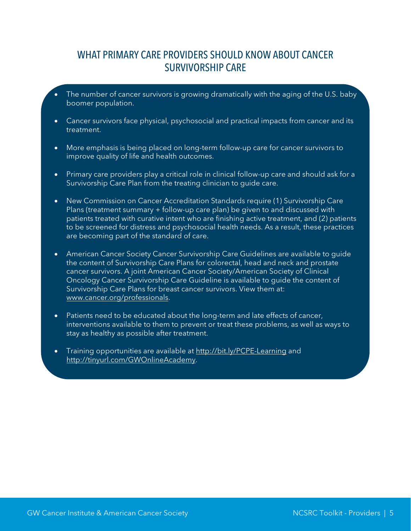### <span id="page-5-0"></span>WHAT PRIMARY CARE PROVIDERS SHOULD KNOW ABOUT CANCER SURVIVORSHIP CARE

- The number of cancer survivors is growing dramatically with the aging of the U.S. baby boomer population.
- Cancer survivors face physical, psychosocial and practical impacts from cancer and its treatment.
- More emphasis is being placed on long-term follow-up care for cancer survivors to improve quality of life and health outcomes.
- Primary care providers play a critical role in clinical follow-up care and should ask for a Survivorship Care Plan from the treating clinician to guide care.
- New Commission on Cancer Accreditation Standards require (1) Survivorship Care Plans (treatment summary + follow-up care plan) be given to and discussed with patients treated with curative intent who are finishing active treatment, and (2) patients to be screened for distress and psychosocial health needs. As a result, these practices are becoming part of the standard of care.
- American Cancer Society Cancer Survivorship Care Guidelines are available to guide the content of Survivorship Care Plans for colorectal, head and neck and prostate cancer survivors. A joint American Cancer Society/American Society of Clinical Oncology Cancer Survivorship Care Guideline is available to guide the content of Survivorship Care Plans for breast cancer survivors. View them at: [www.cancer.org/professionals.](http://www.cancer.org/professionals)
- Patients need to be educated about the long-term and late effects of cancer, interventions available to them to prevent or treat these problems, as well as ways to stay as healthy as possible after treatment.
- Training opportunities are available at<http://bit.ly/PCPE-Learning> and [http://tinyurl.com/GWOnlineAcademy.](http://tinyurl.com/GWOnlineAcademy)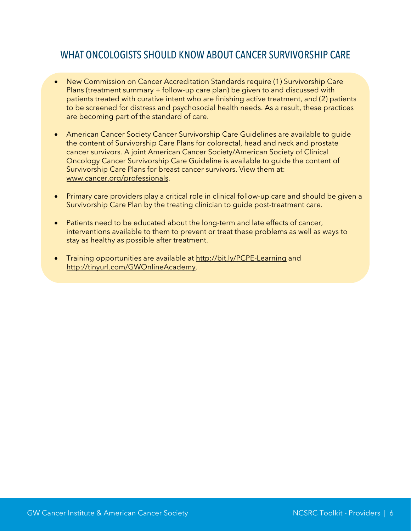### <span id="page-6-0"></span>WHAT ONCOLOGISTS SHOULD KNOW ABOUT CANCER SURVIVORSHIP CARE

- New Commission on Cancer Accreditation Standards require (1) Survivorship Care Plans (treatment summary + follow-up care plan) be given to and discussed with patients treated with curative intent who are finishing active treatment, and (2) patients to be screened for distress and psychosocial health needs. As a result, these practices are becoming part of the standard of care.
- American Cancer Society Cancer Survivorship Care Guidelines are available to guide the content of Survivorship Care Plans for colorectal, head and neck and prostate cancer survivors. A joint American Cancer Society/American Society of Clinical Oncology Cancer Survivorship Care Guideline is available to guide the content of Survivorship Care Plans for breast cancer survivors. View them at: [www.cancer.org/professionals.](http://www.cancer.org/professionals)
- Primary care providers play a critical role in clinical follow-up care and should be given a Survivorship Care Plan by the treating clinician to guide post-treatment care.
- Patients need to be educated about the long-term and late effects of cancer, interventions available to them to prevent or treat these problems as well as ways to stay as healthy as possible after treatment.
- Training opportunities are available at<http://bit.ly/PCPE-Learning> and [http://tinyurl.com/GWOnlineAcademy.](http://tinyurl.com/GWOnlineAcademy)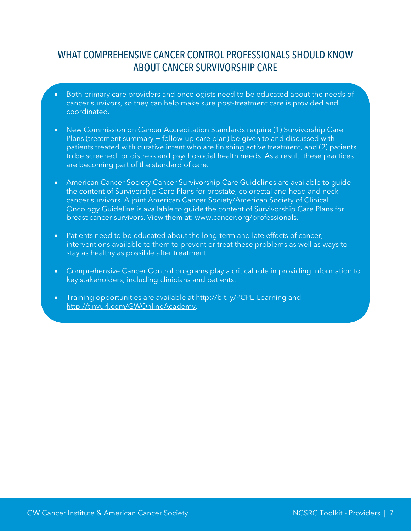### <span id="page-7-0"></span>WHAT COMPREHENSIVE CANCER CONTROL PROFESSIONALS SHOULD KNOW ABOUT CANCER SURVIVORSHIP CARE

- Both primary care providers and oncologists need to be educated about the needs of cancer survivors, so they can help make sure post-treatment care is provided and coordinated.
- New Commission on Cancer Accreditation Standards require (1) Survivorship Care Plans (treatment summary + follow-up care plan) be given to and discussed with patients treated with curative intent who are finishing active treatment, and (2) patients to be screened for distress and psychosocial health needs. As a result, these practices are becoming part of the standard of care.
- American Cancer Society Cancer Survivorship Care Guidelines are available to guide the content of Survivorship Care Plans for prostate, colorectal and head and neck cancer survivors. A joint American Cancer Society/American Society of Clinical Oncology Guideline is available to guide the content of Survivorship Care Plans for breast cancer survivors. View them at: [www.cancer.org/professionals.](http://www.cancer.org/professionals)
- Patients need to be educated about the long-term and late effects of cancer, interventions available to them to prevent or treat these problems as well as ways to stay as healthy as possible after treatment.
- Comprehensive Cancer Control programs play a critical role in providing information to key stakeholders, including clinicians and patients.
- Training opportunities are available at<http://bit.ly/PCPE-Learning> and [http://tinyurl.com/GWOnlineAcademy.](http://tinyurl.com/GWOnlineAcademy)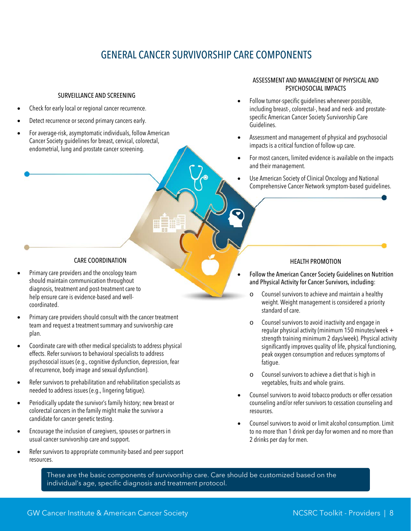# <span id="page-8-0"></span>GENERAL CANCER SURVIVORSHIP CARE COMPONENTS

#### SURVEILLANCE AND SCREENING

- Check for early local or regional cancer recurrence.
- Detect recurrence or second primary cancers early.
- For average-risk, asymptomatic individuals, follow American Cancer Society guidelines for breast, cervical, colorectal, endometrial, lung and prostate cancer screening.

#### ASSESSMENT AND MANAGEMENT OF PHYSICAL AND PSYCHOSOCIAL IMPACTS

- Follow tumor-specific guidelines whenever possible, including breast-, colorectal-, head and neck- and prostatespecific American Cancer Society Survivorship Care Guidelines.
- Assessment and management of physical and psychosocial impacts is a critical function of follow-up care.
- For most cancers, limited evidence is available on the impacts and their management.
- Use American Society of Clinical Oncology and National Comprehensive Cancer Network symptom-based guidelines.

#### CARE COORDINATION

- Primary care providers and the oncology team should maintain communication throughout diagnosis, treatment and post-treatment care to help ensure care is evidence-based and wellcoordinated.
- Primary care providers should consult with the cancer treatment team and request a treatment summary and survivorship care plan.
- Coordinate care with other medical specialists to address physical effects. Refer survivors to behavioral specialists to address psychosocial issues (e.g., cognitive dysfunction, depression, fear of recurrence, body image and sexual dysfunction).
- Refer survivors to prehabilitation and rehabilitation specialists as needed to address issues (e.g., lingering fatigue).
- Periodically update the survivor's family history; new breast or colorectal cancers in the family might make the survivor a candidate for cancer genetic testing.
- Encourage the inclusion of caregivers, spouses or partners in usual cancer survivorship care and support.
- Refer survivors to appropriate community-based and peer support resources.

#### HEALTH PROMOTION

- Follow the American Cancer Society Guidelines on Nutrition and Physical Activity for Cancer Survivors, including:
- o Counsel survivors to achieve and maintain a healthy weight. Weight management is considered a priority standard of care.
- o Counsel survivors to avoid inactivity and engage in regular physical activity (minimum 150 minutes/week + strength training minimum 2 days/week). Physical activity significantly improves quality of life, physical functioning, peak oxygen consumption and reduces symptoms of fatigue.
- o Counsel survivors to achieve a diet that is high in vegetables, fruits and whole grains.
- Counsel survivors to avoid tobacco products or offer cessation counseling and/or refer survivors to cessation counseling and resources.
- Counsel survivors to avoid or limit alcohol consumption. Limit to no more than 1 drink per day for women and no more than 2 drinks per day for men.

These are the basic components of survivorship care. Care should be customized based on the individual's age, specific diagnosis and treatment protocol.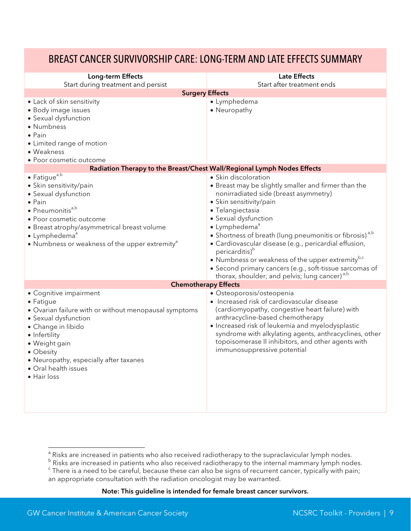### <span id="page-9-0"></span>BREAST CANCER SURVIVORSHIP CARE: LONG-TERM AND LATE EFFECTS SUMMARY

| Long-term Effects                                                                                                                                                                                                                                                                                          | <b>Late Effects</b><br>Start after treatment ends                                                                                                                                                                                                                                                                                                                                                                                                                                                                                                                               |
|------------------------------------------------------------------------------------------------------------------------------------------------------------------------------------------------------------------------------------------------------------------------------------------------------------|---------------------------------------------------------------------------------------------------------------------------------------------------------------------------------------------------------------------------------------------------------------------------------------------------------------------------------------------------------------------------------------------------------------------------------------------------------------------------------------------------------------------------------------------------------------------------------|
| Start during treatment and persist<br><b>Surgery Effects</b>                                                                                                                                                                                                                                               |                                                                                                                                                                                                                                                                                                                                                                                                                                                                                                                                                                                 |
| • Lack of skin sensitivity<br>· Body image issues<br>• Sexual dysfunction<br>• Numbness<br>$\bullet$ Pain<br>• Limited range of motion<br>• Weakness<br>• Poor cosmetic outcome                                                                                                                            | · Lymphedema<br>• Neuropathy                                                                                                                                                                                                                                                                                                                                                                                                                                                                                                                                                    |
| Radiation Therapy to the Breast/Chest Wall/Regional Lymph Nodes Effects                                                                                                                                                                                                                                    |                                                                                                                                                                                                                                                                                                                                                                                                                                                                                                                                                                                 |
| $\bullet$ Fatigue <sup>a,b</sup><br>• Skin sensitivity/pain<br>• Sexual dysfunction<br>$\bullet$ Pain<br>• Pneumonitis <sup>a,b</sup><br>• Poor cosmetic outcome<br>• Breast atrophy/asymmetrical breast volume<br>• Lymphedema <sup>a</sup><br>• Numbness or weakness of the upper extremity <sup>a</sup> | • Skin discoloration<br>• Breast may be slightly smaller and firmer than the<br>nonirradiated side (breast asymmetry)<br>• Skin sensitivity/pain<br>· Telangiectasia<br>· Sexual dysfunction<br>• Lymphedema <sup>ª</sup><br>• Shortness of breath (lung pneumonitis or fibrosis) <sup>a,b</sup><br>· Cardiovascular disease (e.g., pericardial effusion,<br>pericarditis) <sup>b</sup><br>• Numbness or weakness of the upper extremity <sup>b,c</sup><br>• Second primary cancers (e.g., soft-tissue sarcomas of<br>thorax, shoulder, and pelvis; lung cancer) <sup>a,b</sup> |
| <b>Chemotherapy Effects</b>                                                                                                                                                                                                                                                                                |                                                                                                                                                                                                                                                                                                                                                                                                                                                                                                                                                                                 |
| • Cognitive impairment<br>• Fatigue<br>• Ovarian failure with or without menopausal symptoms<br>• Sexual dysfunction<br>• Change in libido<br>• Infertility<br>· Weight gain<br>• Obesity<br>· Neuropathy, especially after taxanes<br>· Oral health issues<br>$\bullet$ Hair loss                         | · Osteoporosis/osteopenia<br>• Increased risk of cardiovascular disease<br>(cardiomyopathy, congestive heart failure) with<br>anthracycline-based chemotherapy<br>· Increased risk of leukemia and myelodysplastic<br>syndrome with alkylating agents, anthracyclines, other<br>topoisomerase II inhibitors, and other agents with<br>immunosuppressive potential                                                                                                                                                                                                               |

<sup>&</sup>lt;sup>a</sup> Risks are increased in patients who also received radiotherapy to the supraclavicular lymph nodes.<br><sup>b</sup> Risks are increased in patients who also received radiotherapy to the internal mammary lymph nodes.

<sup>&</sup>lt;sup>c</sup> There is a need to be careful, because these can also be signs of recurrent cancer, typically with pain; an appropriate consultation with the radiation oncologist may be warranted.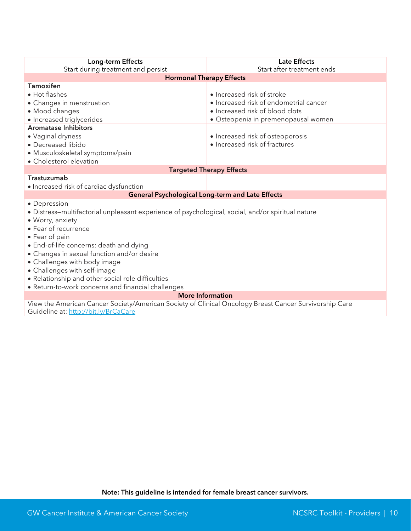| Long-term Effects                                                                                      | <b>Late Effects</b>                    |  |  |
|--------------------------------------------------------------------------------------------------------|----------------------------------------|--|--|
| Start during treatment and persist                                                                     | Start after treatment ends             |  |  |
| <b>Hormonal Therapy Effects</b>                                                                        |                                        |  |  |
| <b>Tamoxifen</b>                                                                                       |                                        |  |  |
| • Hot flashes                                                                                          | • Increased risk of stroke             |  |  |
| • Changes in menstruation                                                                              | • Increased risk of endometrial cancer |  |  |
| · Mood changes                                                                                         | • Increased risk of blood clots        |  |  |
| • Increased triglycerides                                                                              | · Osteopenia in premenopausal women    |  |  |
| <b>Aromatase Inhibitors</b>                                                                            |                                        |  |  |
| • Vaginal dryness                                                                                      | • Increased risk of osteoporosis       |  |  |
| · Decreased libido                                                                                     | • Increased risk of fractures          |  |  |
| · Musculoskeletal symptoms/pain                                                                        |                                        |  |  |
| • Cholesterol elevation                                                                                |                                        |  |  |
|                                                                                                        | <b>Targeted Therapy Effects</b>        |  |  |
| Trastuzumab                                                                                            |                                        |  |  |
| · Increased risk of cardiac dysfunction                                                                |                                        |  |  |
| <b>General Psychological Long-term and Late Effects</b>                                                |                                        |  |  |
| • Depression                                                                                           |                                        |  |  |
| • Distress-multifactorial unpleasant experience of psychological, social, and/or spiritual nature      |                                        |  |  |
| · Worry, anxiety                                                                                       |                                        |  |  |
| • Fear of recurrence                                                                                   |                                        |  |  |
| • Fear of pain                                                                                         |                                        |  |  |
| • End-of-life concerns: death and dying                                                                |                                        |  |  |
| • Changes in sexual function and/or desire                                                             |                                        |  |  |
| • Challenges with body image                                                                           |                                        |  |  |
| • Challenges with self-image                                                                           |                                        |  |  |
| • Relationship and other social role difficulties                                                      |                                        |  |  |
| • Return-to-work concerns and financial challenges                                                     |                                        |  |  |
| <b>More Information</b>                                                                                |                                        |  |  |
| View the American Cancer Society/American Society of Clinical Oncology Breast Cancer Survivorship Care |                                        |  |  |

Guideline at[: http://bit.ly/BrCaCare](http://bit.ly/BrCaCare)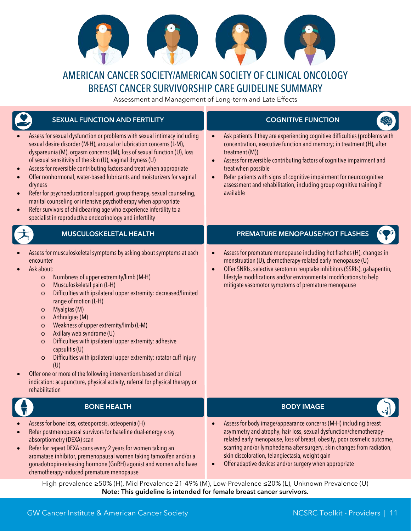

# AMERICAN CANCER SOCIETY/AMERICAN SOCIETY OF CLINICAL ONCOLOGY BREAST CANCER SURVIVORSHIP CARE GUIDELINE SUMMARY

<span id="page-11-0"></span>Assessment and Management of Long-term and Late Effects

| <b>SEXUAL FUNCTION AND FERTILITY</b>                                                                                                                                                                                                                                                                                                                                                                                                                                                                                                                                                                                                                                                                                                                                                                                | <b>COGNITIVE FUNCTION</b>                                                                                                                                                                                                                                                                                                                                                                                                                         |
|---------------------------------------------------------------------------------------------------------------------------------------------------------------------------------------------------------------------------------------------------------------------------------------------------------------------------------------------------------------------------------------------------------------------------------------------------------------------------------------------------------------------------------------------------------------------------------------------------------------------------------------------------------------------------------------------------------------------------------------------------------------------------------------------------------------------|---------------------------------------------------------------------------------------------------------------------------------------------------------------------------------------------------------------------------------------------------------------------------------------------------------------------------------------------------------------------------------------------------------------------------------------------------|
| Assess for sexual dysfunction or problems with sexual intimacy including<br>sexual desire disorder (M-H), arousal or lubrication concerns (L-M),<br>dyspareunia (M), orgasm concerns (M), loss of sexual function (U), loss<br>of sexual sensitivity of the skin (U), vaginal dryness (U)<br>Assess for reversible contributing factors and treat when appropriate<br>Offer nonhormonal, water-based lubricants and moisturizers for vaginal<br>dryness<br>Refer for psychoeducational support, group therapy, sexual counseling,<br>marital counseling or intensive psychotherapy when appropriate<br>Refer survivors of childbearing age who experience infertility to a<br>$\bullet$<br>specialist in reproductive endocrinology and infertility                                                                 | Ask patients if they are experiencing cognitive difficulties (problems with<br>concentration, executive function and memory; in treatment (H), after<br>treatment (M))<br>Assess for reversible contributing factors of cognitive impairment and<br>$\bullet$<br>treat when possible<br>Refer patients with signs of cognitive impairment for neurocognitive<br>assessment and rehabilitation, including group cognitive training if<br>available |
| <b>MUSCULOSKELETAL HEALTH</b>                                                                                                                                                                                                                                                                                                                                                                                                                                                                                                                                                                                                                                                                                                                                                                                       | PREMATURE MENOPAUSE/HOT FLASHES                                                                                                                                                                                                                                                                                                                                                                                                                   |
| Assess for musculoskeletal symptoms by asking about symptoms at each<br>encounter<br>Ask about:<br>Numbness of upper extremity/limb (M-H)<br>$\circ$<br>Musculoskeletal pain (L-H)<br>$\circ$<br>Difficulties with ipsilateral upper extremity: decreased/limited<br>$\circ$<br>range of motion (L-H)<br>Myalgias (M)<br>$\circ$<br>Arthralgias (M)<br>$\circ$<br>Weakness of upper extremity/limb (L-M)<br>$\circ$<br>Axillary web syndrome (U)<br>$\circ$<br>Difficulties with ipsilateral upper extremity: adhesive<br>$\circ$<br>capsulitis (U)<br>Difficulties with ipsilateral upper extremity: rotator cuff injury<br>$\circ$<br>(U)<br>Offer one or more of the following interventions based on clinical<br>indication: acupuncture, physical activity, referral for physical therapy or<br>rehabilitation | Assess for premature menopause including hot flashes (H), changes in<br>menstruation (U), chemotherapy-related early menopause (U)<br>Offer SNRIs, selective serotonin reuptake inhibitors (SSRIs), gabapentin,<br>$\bullet$<br>lifestyle modifications and/or environmental modifications to help<br>mitigate vasomotor symptoms of premature menopause                                                                                          |
| <b>BONE HEALTH</b>                                                                                                                                                                                                                                                                                                                                                                                                                                                                                                                                                                                                                                                                                                                                                                                                  | <b>BODY IMAGE</b><br>اړب                                                                                                                                                                                                                                                                                                                                                                                                                          |
| Assess for bone loss, osteoporosis, osteopenia (H)<br>Refer postmenopausal survivors for baseline dual-energy x-ray<br>absorptiometry (DEXA) scan<br>Refer for repeat DEXA scans every 2 years for women taking an<br>$\bullet$<br>aromatase inhibitor, premenopausal women taking tamoxifen and/or a<br>gonadotropin-releasing hormone (GnRH) agonist and women who have<br>chemotherapy-induced premature menopause                                                                                                                                                                                                                                                                                                                                                                                               | Assess for body image/appearance concerns (M-H) including breast<br>asymmetry and atrophy, hair loss, sexual dysfunction/chemotherapy-<br>related early menopause, loss of breast, obesity, poor cosmetic outcome,<br>scarring and/or lymphedema after surgery, skin changes from radiation,<br>skin discoloration, telangiectasia, weight gain<br>Offer adaptive devices and/or surgery when appropriate                                         |
| High prevalence ≥50% (H), Mid Prevalence 21-49% (M), Low-Prevalence ≤20% (L), Unknown Prevalence (U)                                                                                                                                                                                                                                                                                                                                                                                                                                                                                                                                                                                                                                                                                                                |                                                                                                                                                                                                                                                                                                                                                                                                                                                   |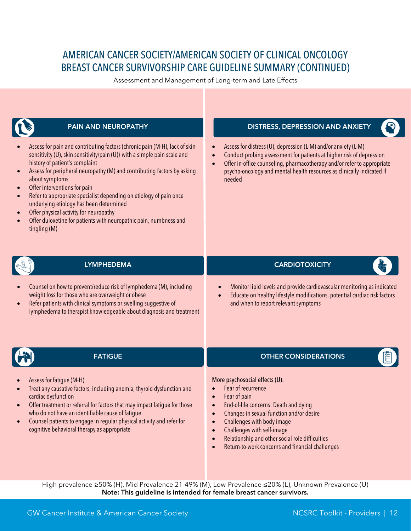# AMERICAN CANCER SOCIETY/AMERICAN SOCIETY OF CLINICAL ONCOLOGY BREAST CANCER SURVIVORSHIP CARE GUIDELINE SUMMARY (CONTINUED)

Assessment and Management of Long-term and Late Effects



High prevalence ≥50% (H), Mid Prevalence 21-49% (M), Low-Prevalence ≤20% (L), Unknown Prevalence (U) Note: This guideline is intended for female breast cancer survivors.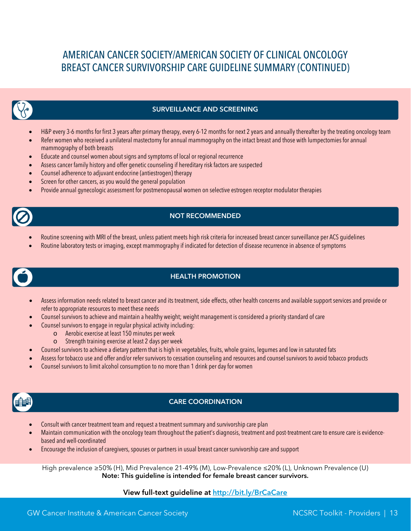# AMERICAN CANCER SOCIETY/AMERICAN SOCIETY OF CLINICAL ONCOLOGY BREAST CANCER SURVIVORSHIP CARE GUIDELINE SUMMARY (CONTINUED)



#### SURVEILLANCE AND SCREENING

- H&P every 3-6 months for first 3 years after primary therapy, every 6-12 months for next 2 years and annually thereafter by the treating oncology team
- Refer women who received a unilateral mastectomy for annual mammography on the intact breast and those with lumpectomies for annual mammography of both breasts
- Educate and counsel women about signs and symptoms of local or regional recurrence
- Assess cancer family history and offer genetic counseling if hereditary risk factors are suspected
- Counsel adherence to adjuvant endocrine (antiestrogen) therapy
- Screen for other cancers, as you would the general population
- Provide annual gynecologic assessment for postmenopausal women on selective estrogen receptor modulator therapies



#### NOT RECOMMENDED

- Routine screening with MRI of the breast, unless patient meets high risk criteria for increased breast cancer surveillance per ACS guidelines
- Routine laboratory tests or imaging, except mammography if indicated for detection of disease recurrence in absence of symptoms

### HEALTH PROMOTION

- Assess information needs related to breast cancer and its treatment, side effects, other health concerns and available support services and provide or refer to appropriate resources to meet these needs
- Counsel survivors to achieve and maintain a healthy weight; weight management is considered a priority standard of care
- Counsel survivors to engage in regular physical activity including:
	- o Aerobic exercise at least 150 minutes per week
	- o Strength training exercise at least 2 days per week
- Counsel survivors to achieve a dietary pattern that is high in vegetables, fruits, whole grains, legumes and low in saturated fats
- Assess for tobacco use and offer and/or refer survivors to cessation counseling and resources and counsel survivors to avoid tobacco products
- Counsel survivors to limit alcohol consumption to no more than 1 drink per day for women



#### CARE COORDINATION

- Consult with cancer treatment team and request a treatment summary and survivorship care plan
- Maintain communication with the oncology team throughout the patient's diagnosis, treatment and post-treatment care to ensure care is evidencebased and well-coordinated
- Encourage the inclusion of caregivers, spouses or partners in usual breast cancer survivorship care and support

High prevalence ≥50% (H), Mid Prevalence 21-49% (M), Low-Prevalence ≤20% (L), Unknown Prevalence (U) Note: This guideline is intended for female breast cancer survivors.

#### View full-text guideline at<http://bit.ly/BrCaCare>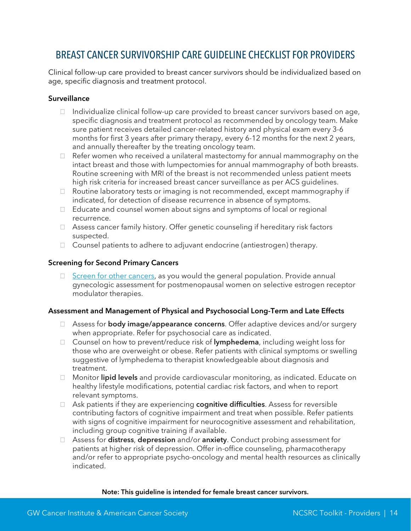### <span id="page-14-0"></span>BREAST CANCER SURVIVORSHIP CARE GUIDELINE CHECKLIST FOR PROVIDERS

Clinical follow-up care provided to breast cancer survivors should be individualized based on age, specific diagnosis and treatment protocol.

#### **Surveillance**

- $\Box$  Individualize clinical follow-up care provided to breast cancer survivors based on age, specific diagnosis and treatment protocol as recommended by oncology team. Make sure patient receives detailed cancer-related history and physical exam every 3-6 months for first 3 years after primary therapy, every 6-12 months for the next 2 years, and annually thereafter by the treating oncology team.
- $\Box$  Refer women who received a unilateral mastectomy for annual mammography on the intact breast and those with lumpectomies for annual mammography of both breasts. Routine screening with MRI of the breast is not recommended unless patient meets high risk criteria for increased breast cancer surveillance as per ACS guidelines.
- □ Routine laboratory tests or imaging is not recommended, except mammography if indicated, for detection of disease recurrence in absence of symptoms.
- Educate and counsel women about signs and symptoms of local or regional recurrence.
- □ Assess cancer family history. Offer genetic counseling if hereditary risk factors suspected.
- □ Counsel patients to adhere to adjuvant endocrine (antiestrogen) therapy.

#### Screening for Second Primary Cancers

G [Screen for other cancers,](http://www.cancer.org/healthy/findcancerearly/cancerscreeningguidelines/american-cancer-society-guidelines-for-the-early-detection-of-cancer) as you would the general population. Provide annual gynecologic assessment for postmenopausal women on selective estrogen receptor modulator therapies.

#### Assessment and Management of Physical and Psychosocial Long-Term and Late Effects

- □ Assess for **body image/appearance concerns**. Offer adaptive devices and/or surgery when appropriate. Refer for psychosocial care as indicated.
- □ Counsel on how to prevent/reduce risk of lymphedema, including weight loss for those who are overweight or obese. Refer patients with clinical symptoms or swelling suggestive of lymphedema to therapist knowledgeable about diagnosis and treatment.
- □ Monitor lipid levels and provide cardiovascular monitoring, as indicated. Educate on healthy lifestyle modifications, potential cardiac risk factors, and when to report relevant symptoms.
- $\Box$  Ask patients if they are experiencing **cognitive difficulties**. Assess for reversible contributing factors of cognitive impairment and treat when possible. Refer patients with signs of cognitive impairment for neurocognitive assessment and rehabilitation, including group cognitive training if available.
- □ Assess for distress, depression and/or anxiety. Conduct probing assessment for patients at higher risk of depression. Offer in-office counseling, pharmacotherapy and/or refer to appropriate psycho-oncology and mental health resources as clinically indicated.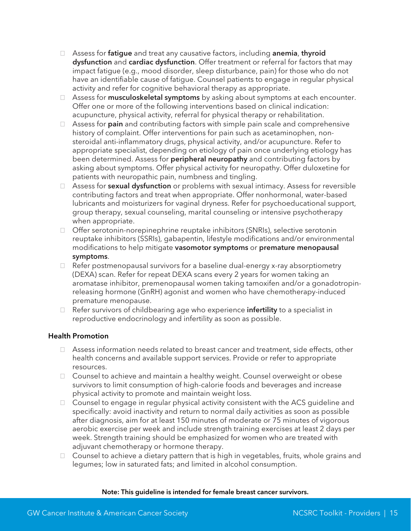- □ Assess for fatigue and treat any causative factors, including anemia, thyroid dysfunction and cardiac dysfunction. Offer treatment or referral for factors that may impact fatigue (e.g., mood disorder, sleep disturbance, pain) for those who do not have an identifiable cause of fatigue. Counsel patients to engage in regular physical activity and refer for cognitive behavioral therapy as appropriate.
- $\Box$  Assess for **musculoskeletal symptoms** by asking about symptoms at each encounter. Offer one or more of the following interventions based on clinical indication: acupuncture, physical activity, referral for physical therapy or rehabilitation.
- Assess for **pain** and contributing factors with simple pain scale and comprehensive history of complaint. Offer interventions for pain such as acetaminophen, nonsteroidal anti-inflammatory drugs, physical activity, and/or acupuncture. Refer to appropriate specialist, depending on etiology of pain once underlying etiology has been determined. Assess for **peripheral neuropathy** and contributing factors by asking about symptoms. Offer physical activity for neuropathy. Offer duloxetine for patients with neuropathic pain, numbness and tingling.
- $\Box$  Assess for **sexual dysfunction** or problems with sexual intimacy. Assess for reversible contributing factors and treat when appropriate. Offer nonhormonal, water-based lubricants and moisturizers for vaginal dryness. Refer for psychoeducational support, group therapy, sexual counseling, marital counseling or intensive psychotherapy when appropriate.
- Offer serotonin-norepinephrine reuptake inhibitors (SNRIs), selective serotonin reuptake inhibitors (SSRIs), gabapentin, lifestyle modifications and/or environmental modifications to help mitigate vasomotor symptoms or premature menopausal symptoms.
- $\Box$  Refer postmenopausal survivors for a baseline dual-energy x-ray absorptiometry (DEXA) scan. Refer for repeat DEXA scans every 2 years for women taking an aromatase inhibitor, premenopausal women taking tamoxifen and/or a gonadotropinreleasing hormone (GnRH) agonist and women who have chemotherapy-induced premature menopause.
- $\Box$  Refer survivors of childbearing age who experience **infertility** to a specialist in reproductive endocrinology and infertility as soon as possible.

#### Health Promotion

- □ Assess information needs related to breast cancer and treatment, side effects, other health concerns and available support services. Provide or refer to appropriate resources.
- □ Counsel to achieve and maintain a healthy weight. Counsel overweight or obese survivors to limit consumption of high-calorie foods and beverages and increase physical activity to promote and maintain weight loss.
- $\Box$  Counsel to engage in regular physical activity consistent with the ACS guideline and specifically: avoid inactivity and return to normal daily activities as soon as possible after diagnosis, aim for at least 150 minutes of moderate or 75 minutes of vigorous aerobic exercise per week and include strength training exercises at least 2 days per week. Strength training should be emphasized for women who are treated with adjuvant chemotherapy or hormone therapy.
- □ Counsel to achieve a dietary pattern that is high in vegetables, fruits, whole grains and legumes; low in saturated fats; and limited in alcohol consumption.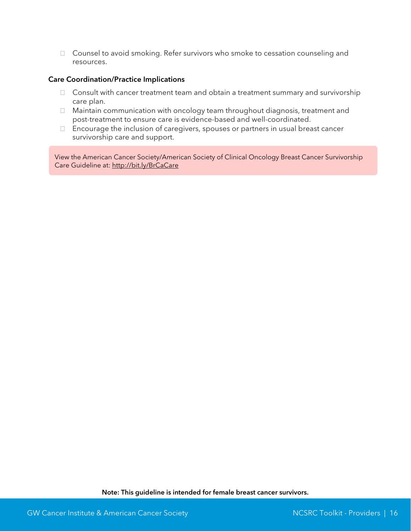□ Counsel to avoid smoking. Refer survivors who smoke to cessation counseling and resources.

#### Care Coordination/Practice Implications

- $\Box$  Consult with cancer treatment team and obtain a treatment summary and survivorship care plan.
- □ Maintain communication with oncology team throughout diagnosis, treatment and post-treatment to ensure care is evidence-based and well-coordinated.
- Encourage the inclusion of caregivers, spouses or partners in usual breast cancer survivorship care and support.

View the American Cancer Society/American Society of Clinical Oncology Breast Cancer Survivorship Care Guideline at:<http://bit.ly/BrCaCare>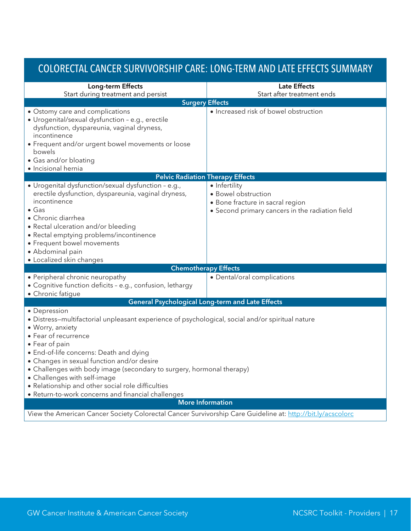# <span id="page-17-0"></span>COLORECTAL CANCER SURVIVORSHIP CARE: LONG-TERM AND LATE EFFECTS SUMMARY

| Long-term Effects                                                                                                                                                                                                                                                                                                                                                                                                                                                                           | <b>Late Effects</b>                                                                                                         |  |  |
|---------------------------------------------------------------------------------------------------------------------------------------------------------------------------------------------------------------------------------------------------------------------------------------------------------------------------------------------------------------------------------------------------------------------------------------------------------------------------------------------|-----------------------------------------------------------------------------------------------------------------------------|--|--|
| Start during treatment and persist<br>Start after treatment ends<br><b>Surgery Effects</b>                                                                                                                                                                                                                                                                                                                                                                                                  |                                                                                                                             |  |  |
| • Ostomy care and complications<br>· Urogenital/sexual dysfunction - e.g., erectile<br>dysfunction, dyspareunia, vaginal dryness,<br>incontinence<br>• Frequent and/or urgent bowel movements or loose<br>bowels<br>• Gas and/or bloating<br>· Incisional hernia                                                                                                                                                                                                                            | · Increased risk of bowel obstruction                                                                                       |  |  |
| <b>Pelvic Radiation Therapy Effects</b>                                                                                                                                                                                                                                                                                                                                                                                                                                                     |                                                                                                                             |  |  |
| · Urogenital dysfunction/sexual dysfunction - e.g.,<br>erectile dysfunction, dyspareunia, vaginal dryness,<br>incontinence<br>$\bullet$ Gas<br>• Chronic diarrhea<br>• Rectal ulceration and/or bleeding<br>• Rectal emptying problems/incontinence<br>• Frequent bowel movements<br>• Abdominal pain<br>• Localized skin changes                                                                                                                                                           | • Infertility<br>• Bowel obstruction<br>· Bone fracture in sacral region<br>• Second primary cancers in the radiation field |  |  |
| <b>Chemotherapy Effects</b>                                                                                                                                                                                                                                                                                                                                                                                                                                                                 |                                                                                                                             |  |  |
| • Peripheral chronic neuropathy<br>• Cognitive function deficits - e.g., confusion, lethargy<br>• Chronic fatigue                                                                                                                                                                                                                                                                                                                                                                           | • Dental/oral complications                                                                                                 |  |  |
| <b>General Psychological Long-term and Late Effects</b>                                                                                                                                                                                                                                                                                                                                                                                                                                     |                                                                                                                             |  |  |
| • Depression<br>· Distress-multifactorial unpleasant experience of psychological, social and/or spiritual nature<br>· Worry, anxiety<br>• Fear of recurrence<br>• Fear of pain<br>• End-of-life concerns: Death and dying<br>• Changes in sexual function and/or desire<br>• Challenges with body image (secondary to surgery, hormonal therapy)<br>• Challenges with self-image<br>• Relationship and other social role difficulties<br>• Return-to-work concerns and financial challenges |                                                                                                                             |  |  |
| <b>More Information</b>                                                                                                                                                                                                                                                                                                                                                                                                                                                                     |                                                                                                                             |  |  |
|                                                                                                                                                                                                                                                                                                                                                                                                                                                                                             | View the American Cancer Society Colorectal Cancer Survivorship Care Guideline at: http://bit.ly/acscolorc                  |  |  |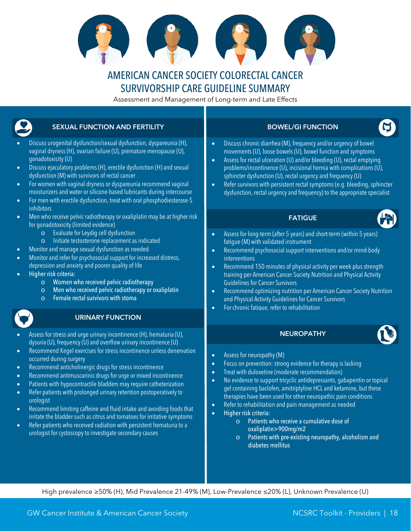

### AMERICAN CANCER SOCIETY COLORECTAL CANCER SURVIVORSHIP CARE GUIDELINE SUMMARY

Assessment and Management of Long-term and Late Effects

<span id="page-18-0"></span>

| <b>SEXUAL FUNCTION AND FERTILITY</b>                                                                                                                                                                                                                                                                                                                                                                                                                                                                                                                                                                                                                                                                                                                                                                                                        | <b>BOWEL/GI FUNCTION</b>                                                                                                                                                                                                                                                                                                                                                                                                                                                                                                                                                                                                                                                                                 |
|---------------------------------------------------------------------------------------------------------------------------------------------------------------------------------------------------------------------------------------------------------------------------------------------------------------------------------------------------------------------------------------------------------------------------------------------------------------------------------------------------------------------------------------------------------------------------------------------------------------------------------------------------------------------------------------------------------------------------------------------------------------------------------------------------------------------------------------------|----------------------------------------------------------------------------------------------------------------------------------------------------------------------------------------------------------------------------------------------------------------------------------------------------------------------------------------------------------------------------------------------------------------------------------------------------------------------------------------------------------------------------------------------------------------------------------------------------------------------------------------------------------------------------------------------------------|
| Discuss urogenital dysfunction/sexual dysfunction, dyspareunia (H),<br>vaginal dryness (H), ovarian failure (U), premature menopause (U),<br>qonadotoxicity (U)<br>Discuss ejaculatory problems (H), erectile dysfunction (H) and sexual<br>$\bullet$<br>dysfunction (M) with survivors of rectal cancer<br>For women with vaginal dryness or dyspareunia recommend vaginal<br>$\bullet$<br>moisturizers and water or silicone-based lubricants during intercourse<br>For men with erectile dysfunction, treat with oral phosphodiesterase-5<br>$\bullet$<br><i>inhibitors</i>                                                                                                                                                                                                                                                              | Discuss chronic diarrhea (M), frequency and/or urgency of bowel<br>$\bullet$<br>movements (U), loose bowels (U), bowel function and symptoms<br>Assess for rectal ulceration (U) and/or bleeding (U), rectal emptying<br>$\bullet$<br>problems/incontinence (U), incisional hernia with complications (U),<br>sphincter dysfunction (U), rectal urgency and frequency (U)<br>Refer survivors with persistent rectal symptoms (e.g. bleeding, sphincter<br>$\bullet$<br>dysfunction, rectal urgency and frequency) to the appropriate specialist                                                                                                                                                          |
| Men who receive pelvic radiotherapy or oxaliplatin may be at higher risk<br>$\bullet$<br>for gonadotoxicity (limited evidence)                                                                                                                                                                                                                                                                                                                                                                                                                                                                                                                                                                                                                                                                                                              | <b>FATIGUE</b>                                                                                                                                                                                                                                                                                                                                                                                                                                                                                                                                                                                                                                                                                           |
| Evaluate for Leydig cell dysfunction<br>$\circ$<br>Initiate testosterone replacement as indicated<br>$\circ$<br>Monitor and manage sexual dysfunction as needed<br>$\bullet$<br>Monitor and refer for psychosocial support for increased distress,<br>$\bullet$<br>depression and anxiety and poorer quality of life<br>Higher risk criteria:<br>Women who received pelvic radiotherapy<br>$\circ$<br>Men who received pelvic radiotherapy or oxaliplatin<br>$\circ$<br>Female rectal survivors with stoma<br>$\circ$<br><b>URINARY FUNCTION</b>                                                                                                                                                                                                                                                                                            | Assess for long-term (after 5 years) and short-term (within 5 years)<br>$\bullet$<br>fatigue (M) with validated instrument<br>Recommend psychosocial support interventions and/or mind-body<br>$\bullet$<br>interventions<br>Recommend 150 minutes of physical activity per week plus strength<br>$\bullet$<br>training per American Cancer Society Nutrition and Physical Activity<br><b>Guidelines for Cancer Survivors</b><br>Recommend optimizing nutrition per American Cancer Society Nutrition<br>$\bullet$<br>and Physical Activity Guidelines for Cancer Survivors<br>For chronic fatique, refer to rehabilitation<br>$\bullet$                                                                 |
| Assess for stress and urge urinary incontinence (H), hematuria (U),                                                                                                                                                                                                                                                                                                                                                                                                                                                                                                                                                                                                                                                                                                                                                                         | <b>NEUROPATHY</b>                                                                                                                                                                                                                                                                                                                                                                                                                                                                                                                                                                                                                                                                                        |
| dysuria (U), frequency (U) and overflow urinary incontinence (U)<br>Recommend Kegel exercises for stress incontinence unless denervation<br>$\bullet$<br>occurred during surgery<br>Recommend anticholinergic drugs for stress incontinence<br>$\bullet$<br>Recommend antimuscarinic drugs for urge or mixed incontinence<br>$\bullet$<br>Patients with hypocontractile bladders may require catheterization<br>$\bullet$<br>Refer patients with prolonged urinary retention postoperatively to<br>$\bullet$<br>urologist<br>Recommend limiting caffeine and fluid intake and avoiding foods that<br>$\bullet$<br>irritate the bladder such as citrus and tomatoes for irritative symptoms<br>Refer patients who received radiation with persistent hematuria to a<br>$\bullet$<br>urologist for cystoscopy to investigate secondary causes | Assess for neuropathy (M)<br>$\bullet$<br>Focus on prevention: strong evidence for therapy is lacking<br>$\bullet$<br>Treat with duloxetine (moderate recommendation)<br>$\bullet$<br>No evidence to support tricyclic antidepressants, gabapentin or topical<br>$\bullet$<br>gel containing baclofen, amitriptyline HCL and ketamine, but these<br>therapies have been used for other neuropathic pain conditions<br>Refer to rehabilitation and pain management as needed<br>$\bullet$<br>Higher risk criteria:<br>$\bullet$<br>Patients who receive a cumulative dose of<br>$\Omega$<br>oxaliplatin>900mg/m2<br>Patients with pre-existing neuropathy, alcoholism and<br>$\circ$<br>diabetes mellitus |

High prevalence ≥50% (H), Mid Prevalence 21-49% (M), Low-Prevalence ≤20% (L), Unknown Prevalence (U)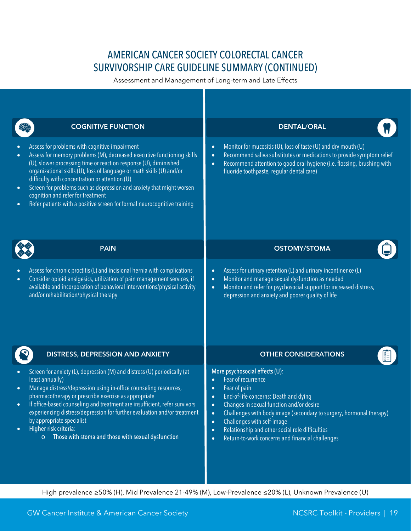# AMERICAN CANCER SOCIETY COLORECTAL CANCER SURVIVORSHIP CARE GUIDELINE SUMMARY (CONTINUED)

Assessment and Management of Long-term and Late Effects

|                                                  | <b>COGNITIVE FUNCTION</b>                                                                                                                                                                                                                                                                                                                                                                                                                                                                                       |                                                                                                                                                                                                                                                                                                       | <b>DENTAL/ORAL</b>                                                                                                                                                                                                                                                                                                                                                    |
|--------------------------------------------------|-----------------------------------------------------------------------------------------------------------------------------------------------------------------------------------------------------------------------------------------------------------------------------------------------------------------------------------------------------------------------------------------------------------------------------------------------------------------------------------------------------------------|-------------------------------------------------------------------------------------------------------------------------------------------------------------------------------------------------------------------------------------------------------------------------------------------------------|-----------------------------------------------------------------------------------------------------------------------------------------------------------------------------------------------------------------------------------------------------------------------------------------------------------------------------------------------------------------------|
| $\bullet$<br>$\bullet$<br>$\bullet$<br>$\bullet$ | Assess for problems with cognitive impairment<br>Assess for memory problems (M), decreased executive functioning skills<br>(U), slower processing time or reaction response (U), diminished<br>organizational skills (U), loss of language or math skills (U) and/or<br>difficulty with concentration or attention (U)<br>Screen for problems such as depression and anxiety that might worsen<br>cognition and refer for treatment<br>Refer patients with a positive screen for formal neurocognitive training | Monitor for mucositis (U), loss of taste (U) and dry mouth (U)<br>$\bullet$<br>Recommend saliva substitutes or medications to provide symptom relief<br>$\bullet$<br>Recommend attention to good oral hygiene (i.e. flossing, brushing with<br>$\bullet$<br>fluoride toothpaste, regular dental care) |                                                                                                                                                                                                                                                                                                                                                                       |
|                                                  | <b>PAIN</b>                                                                                                                                                                                                                                                                                                                                                                                                                                                                                                     |                                                                                                                                                                                                                                                                                                       | <b>OSTOMY/STOMA</b>                                                                                                                                                                                                                                                                                                                                                   |
| $\bullet$<br>$\bullet$                           | Assess for chronic proctitis (L) and incisional hernia with complications<br>Consider opioid analgesics, utilization of pain management services, if<br>available and incorporation of behavioral interventions/physical activity<br>and/or rehabilitation/physical therapy                                                                                                                                                                                                                                     | $\bullet$<br>$\bullet$<br>$\bullet$                                                                                                                                                                                                                                                                   | Assess for urinary retention (L) and urinary incontinence (L)<br>Monitor and manage sexual dysfunction as needed<br>Monitor and refer for psychosocial support for increased distress,<br>depression and anxiety and poorer quality of life                                                                                                                           |
|                                                  | DISTRESS, DEPRESSION AND ANXIETY                                                                                                                                                                                                                                                                                                                                                                                                                                                                                |                                                                                                                                                                                                                                                                                                       | <b>OTHER CONSIDERATIONS</b>                                                                                                                                                                                                                                                                                                                                           |
| $\bullet$<br>$\bullet$<br>$\bullet$<br>$\bullet$ | Screen for anxiety (L), depression (M) and distress (U) periodically (at<br>least annually)<br>Manage distress/depression using in-office counseling resources,<br>pharmacotherapy or prescribe exercise as appropriate<br>If office-based counseling and treatment are insufficient, refer survivors<br>experiencing distress/depression for further evaluation and/or treatment<br>by appropriate specialist<br>Higher risk criteria:<br>$\circ$ Those with stoma and those with sexual dysfunction           | $\bullet$<br>$\bullet$<br>$\bullet$<br>$\bullet$<br>$\bullet$<br>$\bullet$<br>$\bullet$<br>$\bullet$                                                                                                                                                                                                  | More psychosocial effects (U):<br>Fear of recurrence<br>Fear of pain<br>End-of-life concerns: Death and dying<br>Changes in sexual function and/or desire<br>Challenges with body image (secondary to surgery, hormonal therapy)<br>Challenges with self-image<br>Relationship and other social role difficulties<br>Return-to-work concerns and financial challenges |

High prevalence ≥50% (H), Mid Prevalence 21-49% (M), Low-Prevalence ≤20% (L), Unknown Prevalence (U)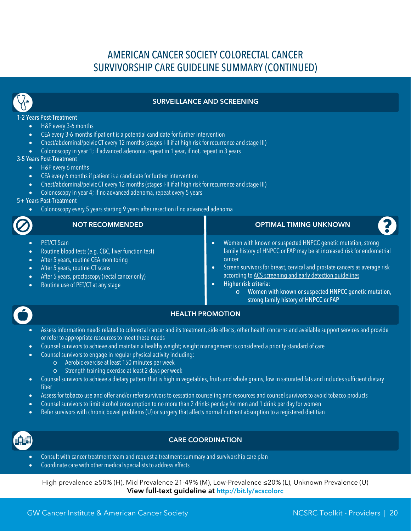# AMERICAN CANCER SOCIETY COLORECTAL CANCER SURVIVORSHIP CARE GUIDELINE SUMMARY (CONTINUED)



#### SURVEILLANCE AND SCREENING

#### 1-2 Years Post-Treatment

- H&P every 3-6 months
- CEA every 3-6 months if patient is a potential candidate for further intervention
- Chest/abdominal/pelvic CT every 12 months (stages I-II if at high risk for recurrence and stage III)
- Colonoscopy in year 1; if advanced adenoma, repeat in 1 year, if not, repeat in 3 years

#### 3-5 Years Post-Treatment

- H&P every 6 months
- CEA every 6 months if patient is a candidate for further intervention
- Chest/abdominal/pelvic CT every 12 months (stages I-II if at high risk for recurrence and stage III)
- Colonoscopy in year 4; if no advanced adenoma, repeat every 5 years

#### 5+ Years Post-Treatment

• Colonoscopy every 5 years starting 9 years after resection if no advanced adenoma

|                                                                       | <b>NOT RECOMMENDED</b>                                                                                                                                                                                                                         | <b>OPTIMAL TIMING UNKNOWN</b>                                                                                                                                                                                                                                                                                                                                                                                                   |
|-----------------------------------------------------------------------|------------------------------------------------------------------------------------------------------------------------------------------------------------------------------------------------------------------------------------------------|---------------------------------------------------------------------------------------------------------------------------------------------------------------------------------------------------------------------------------------------------------------------------------------------------------------------------------------------------------------------------------------------------------------------------------|
| $\bullet$ .<br>$\bullet$ .<br>$\bullet$ .<br>$\bullet$ .<br>$\bullet$ | <b>PET/CT Scan</b><br>Routine blood tests (e.g. CBC, liver function test)<br>After 5 years, routine CEA monitoring<br>After 5 years, routine CT scans<br>After 5 years, proctoscopy (rectal cancer only)<br>Routine use of PET/CT at any stage | Women with known or suspected HNPCC genetic mutation, strong<br>family history of HNPCC or FAP may be at increased risk for endometrial<br>cancer<br>Screen survivors for breast, cervical and prostate cancers as average risk<br>according to ACS screening and early detection quidelines<br>Higher risk criteria:<br>$\circ$ Women with known or suspected HNPCC genetic mutation,<br>strong family history of HNPCC or FAP |



#### HEALTH PROMOTION

- Assess information needs related to colorectal cancer and its treatment, side effects, other health concerns and available support services and provide or refer to appropriate resources to meet these needs
- Counsel survivors to achieve and maintain a healthy weight; weight management is considered a priority standard of care
	- Counsel survivors to engage in regular physical activity including:
		- o Aerobic exercise at least 150 minutes per week
		- Strength training exercise at least 2 days per week
- Counsel survivors to achieve a dietary pattern that is high in vegetables, fruits and whole grains, low in saturated fats and includes sufficient dietary fiber
- Assess for tobacco use and offer and/or refer survivors to cessation counseling and resources and counsel survivors to avoid tobacco products
- Counsel survivors to limit alcohol consumption to no more than 2 drinks per day for men and 1 drink per day for women
- Refer survivors with chronic bowel problems (U) or surgery that affects normal nutrient absorption to a registered dietitian



#### CARE COORDINATION

- Consult with cancer treatment team and request a treatment summary and survivorship care plan
- Coordinate care with other medical specialists to address effects

High prevalence ≥50% (H), Mid Prevalence 21-49% (M), Low-Prevalence ≤20% (L), Unknown Prevalence (U) View full-text guideline at<http://bit.ly/acscolorc>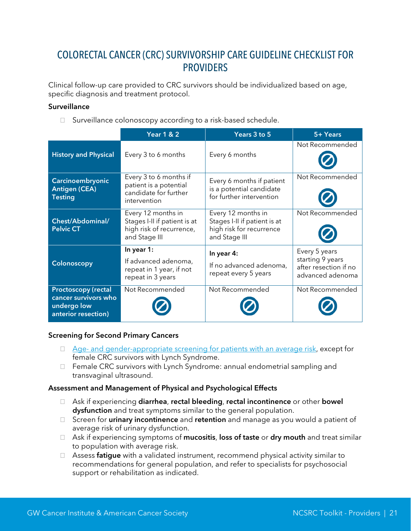### <span id="page-21-0"></span>COLORECTAL CANCER (CRC) SURVIVORSHIP CARE GUIDELINE CHECKLIST FOR **PROVIDERS**

Clinical follow-up care provided to CRC survivors should be individualized based on age, specific diagnosis and treatment protocol.

#### **Surveillance**

□ Surveillance colonoscopy according to a risk-based schedule.

|                                                                                          | <b>Year 1 &amp; 2</b>                                                                           | Years 3 to 5                                                                                    | 5+ Years                                                                       |
|------------------------------------------------------------------------------------------|-------------------------------------------------------------------------------------------------|-------------------------------------------------------------------------------------------------|--------------------------------------------------------------------------------|
| <b>History and Physical</b>                                                              | Every 3 to 6 months                                                                             | Every 6 months                                                                                  | Not Recommended                                                                |
| Carcinoembryonic<br><b>Antigen (CEA)</b><br><b>Testing</b>                               | Every 3 to 6 months if<br>patient is a potential<br>candidate for further<br>intervention       | Every 6 months if patient<br>is a potential candidate<br>for further intervention               | Not Recommended                                                                |
| Chest/Abdominal/<br><b>Pelvic CT</b>                                                     | Every 12 months in<br>Stages I-II if patient is at<br>high risk of recurrence,<br>and Stage III | Every 12 months in<br>Stages I-II if patient is at<br>high risk for recurrence<br>and Stage III | Not Recommended                                                                |
| Colonoscopy                                                                              | In year 1:<br>If advanced adenoma,<br>repeat in 1 year, if not<br>repeat in 3 years             | In year 4:<br>If no advanced adenoma,<br>repeat every 5 years                                   | Every 5 years<br>starting 9 years<br>after resection if no<br>advanced adenoma |
| <b>Proctoscopy (rectal</b><br>cancer survivors who<br>undergo low<br>anterior resection) | Not Recommended                                                                                 | Not Recommended                                                                                 | Not Recommended                                                                |

#### Screening for Second Primary Cancers

- $\Box$  Age- [and gender-appropriate screening for patients with an average risk,](http://onlinelibrary.wiley.com/doi/10.3322/caac.21174/full#tbl2) except for female CRC survivors with Lynch Syndrome.
- □ Female CRC survivors with Lynch Syndrome: annual endometrial sampling and transvaginal ultrasound.

#### Assessment and Management of Physical and Psychological Effects

- □ Ask if experiencing diarrhea, rectal bleeding, rectal incontinence or other bowel dysfunction and treat symptoms similar to the general population.
- □ Screen for urinary incontinence and retention and manage as you would a patient of average risk of urinary dysfunction.
- □ Ask if experiencing symptoms of mucositis, loss of taste or dry mouth and treat similar to population with average risk.
- $\Box$  Assess **fatigue** with a validated instrument, recommend physical activity similar to recommendations for general population, and refer to specialists for psychosocial support or rehabilitation as indicated.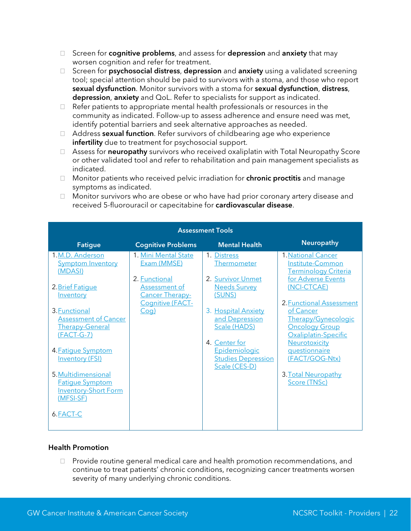- □ Screen for **cognitive problems**, and assess for depression and anxiety that may worsen cognition and refer for treatment.
- $\Box$  Screen for **psychosocial distress, depression** and **anxiety** using a validated screening tool; special attention should be paid to survivors with a stoma, and those who report sexual dysfunction. Monitor survivors with a stoma for sexual dysfunction, distress, depression, anxiety and QoL. Refer to specialists for support as indicated.
- $\Box$  Refer patients to appropriate mental health professionals or resources in the community as indicated. Follow-up to assess adherence and ensure need was met, identify potential barriers and seek alternative approaches as needed.
- $\Box$  Address sexual function. Refer survivors of childbearing age who experience infertility due to treatment for psychosocial support.
- $\Box$  Assess for **neuropathy** survivors who received oxaliplatin with Total Neuropathy Score or other validated tool and refer to rehabilitation and pain management specialists as indicated.
- $\Box$  Monitor patients who received pelvic irradiation for **chronic proctitis** and manage symptoms as indicated.
- □ Monitor survivors who are obese or who have had prior coronary artery disease and received 5-fluorouracil or capecitabine for cardiovascular disease.

| <b>Assessment Tools</b>                                                                                                                                                                                                                                                                                                                            |                                                                                                                                           |                                                                                                                                                                                                                           |                                                                                                                                                                                                                                                                                                                               |
|----------------------------------------------------------------------------------------------------------------------------------------------------------------------------------------------------------------------------------------------------------------------------------------------------------------------------------------------------|-------------------------------------------------------------------------------------------------------------------------------------------|---------------------------------------------------------------------------------------------------------------------------------------------------------------------------------------------------------------------------|-------------------------------------------------------------------------------------------------------------------------------------------------------------------------------------------------------------------------------------------------------------------------------------------------------------------------------|
| <b>Fatigue</b>                                                                                                                                                                                                                                                                                                                                     | <b>Cognitive Problems</b>                                                                                                                 | <b>Mental Health</b>                                                                                                                                                                                                      | <b>Neuropathy</b>                                                                                                                                                                                                                                                                                                             |
| 1.M.D. Anderson<br><b>Symptom Inventory</b><br>(MDASI)<br>2. Brief Fatigue<br><b>Inventory</b><br>3. Functional<br><b>Assessment of Cancer</b><br><b>Therapy-General</b><br>$(FACT-G-7)$<br>4. Fatigue Symptom<br><b>Inventory (FSI)</b><br>5. Multidimensional<br><b>Fatique Symptom</b><br><b>Inventory-Short Form</b><br>(MFSI-SF)<br>6. FACT-C | 1. Mini Mental State<br>Exam (MMSE)<br>2. Functional<br><b>Assessment of</b><br><b>Cancer Therapy-</b><br>Cognitive (FACT-<br><u>Coa)</u> | 1. Distress<br>Thermometer<br>2. Survivor Unmet<br><b>Needs Survey</b><br>(SUNS)<br>3. Hospital Anxiety<br>and Depression<br>Scale (HADS)<br>4. Center for<br>Epidemiologic<br><b>Studies Depression</b><br>Scale (CES-D) | <b>1. National Cancer</b><br>Institute-Common<br><u>Terminology Criteria</u><br>for Adverse Events<br>(NCI-CTCAE)<br>2. Functional Assessment<br>of Cancer<br>Therapy/Gynecologic<br><b>Oncology Group</b><br>Oxaliplatin-Specific<br>Neurotoxicity<br>questionnaire<br>(FACT/GOG-Ntx)<br>3. Total Neuropathy<br>Score (TNSc) |

#### Health Promotion

 $\Box$  Provide routine general medical care and health promotion recommendations, and continue to treat patients' chronic conditions, recognizing cancer treatments worsen severity of many underlying chronic conditions.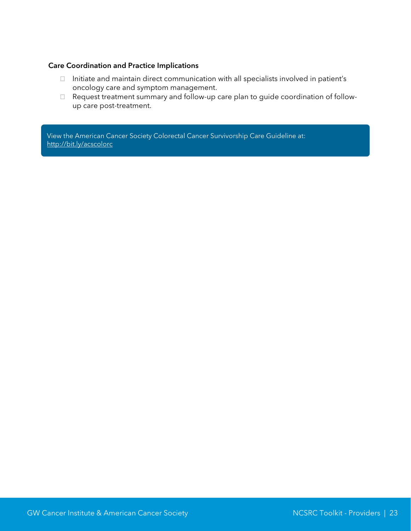#### Care Coordination and Practice Implications

- $\Box$  Initiate and maintain direct communication with all specialists involved in patient's oncology care and symptom management.
- Request treatment summary and follow-up care plan to guide coordination of followup care post-treatment.

View the American Cancer Society Colorectal Cancer Survivorship Care Guideline at: <http://bit.ly/acscolorc>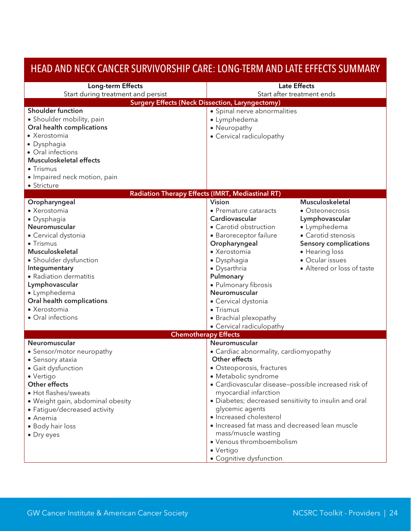| HEAD AND NECK CANCER SURVIVORSHIP CARE: LONG-TERM AND LATE EFFECTS SUMMARY |                                                       |                              |
|----------------------------------------------------------------------------|-------------------------------------------------------|------------------------------|
| Long-term Effects                                                          |                                                       | <b>Late Effects</b>          |
| Start during treatment and persist                                         |                                                       | Start after treatment ends   |
| <b>Surgery Effects (Neck Dissection, Laryngectomy)</b>                     |                                                       |                              |
| <b>Shoulder function</b>                                                   | • Spinal nerve abnormalities                          |                              |
| • Shoulder mobility, pain                                                  | • Lymphedema                                          |                              |
| Oral health complications                                                  | • Neuropathy                                          |                              |
| • Xerostomia                                                               | • Cervical radiculopathy                              |                              |
| • Dysphagia                                                                |                                                       |                              |
| • Oral infections                                                          |                                                       |                              |
| <b>Musculoskeletal effects</b>                                             |                                                       |                              |
| • Trismus                                                                  |                                                       |                              |
| • Impaired neck motion, pain                                               |                                                       |                              |
| • Stricture                                                                |                                                       |                              |
| Radiation Therapy Effects (IMRT, Mediastinal RT)                           |                                                       |                              |
| Oropharyngeal                                                              | <b>Vision</b>                                         | Musculoskeletal              |
| • Xerostomia                                                               | • Premature cataracts                                 | • Osteonecrosis              |
| · Dysphagia                                                                | Cardiovascular                                        | Lymphovascular               |
| Neuromuscular                                                              | • Carotid obstruction                                 | • Lymphedema                 |
| • Cervical dystonia                                                        | · Baroreceptor failure                                | • Carotid stenosis           |
| • Trismus                                                                  | Oropharyngeal                                         | <b>Sensory complications</b> |
| Musculoskeletal                                                            | • Xerostomia                                          | • Hearing loss               |
| • Shoulder dysfunction                                                     | · Dysphagia                                           | • Ocular issues              |
| Integumentary                                                              | • Dysarthria                                          | • Altered or loss of taste   |
| • Radiation dermatitis                                                     | Pulmonary                                             |                              |
| Lymphovascular                                                             | · Pulmonary fibrosis                                  |                              |
| • Lymphedema                                                               | Neuromuscular                                         |                              |
| Oral health complications                                                  | • Cervical dystonia                                   |                              |
| • Xerostomia                                                               | • Trismus                                             |                              |
| • Oral infections                                                          | • Brachial plexopathy                                 |                              |
|                                                                            | • Cervical radiculopathy                              |                              |
| <b>Chemotherapy Effects</b>                                                |                                                       |                              |
| Neuromuscular                                                              | Neuromuscular                                         |                              |
| • Sensor/motor neuropathy                                                  | • Cardiac abnormality, cardiomyopathy                 |                              |
| • Sensory ataxia                                                           | Other effects                                         |                              |
| · Gait dysfunction                                                         | · Osteoporosis, fractures                             |                              |
| • Vertigo                                                                  | • Metabolic syndrome                                  |                              |
| Other effects                                                              | · Cardiovascular disease-possible increased risk of   |                              |
| • Hot flashes/sweats                                                       | myocardial infarction                                 |                              |
| • Weight gain, abdominal obesity                                           | • Diabetes; decreased sensitivity to insulin and oral |                              |
| • Fatigue/decreased activity                                               | glycemic agents                                       |                              |
| $\bullet$ Anemia                                                           | · Increased cholesterol                               |                              |
| • Body hair loss                                                           | • Increased fat mass and decreased lean muscle        |                              |
| • Dry eyes                                                                 | mass/muscle wasting                                   |                              |
|                                                                            | • Venous thromboembolism                              |                              |
|                                                                            | • Vertigo                                             |                              |
|                                                                            | • Cognitive dysfunction                               |                              |

## <span id="page-24-0"></span>HEAD AND NECK CANCER SURVIVORSHIP CARE: LONG-TERM AND LATE EFFECTS SUMMARY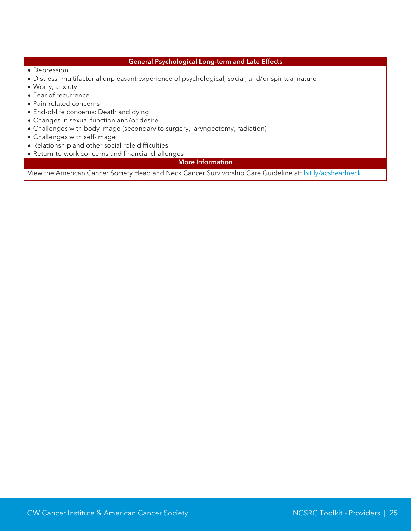#### General Psychological Long-term and Late Effects

- Depression
- Distress—multifactorial unpleasant experience of psychological, social, and/or spiritual nature
- Worry, anxiety
- Fear of recurrence
- Pain-related concerns
- End-of-life concerns: Death and dying
- Changes in sexual function and/or desire
- Challenges with body image (secondary to surgery, laryngectomy, radiation)
- Challenges with self-image
- Relationship and other social role difficulties
- Return-to-work concerns and financial challenges

More Information

View the American Cancer Society Head and Neck Cancer Survivorship Care Guideline at: [bit.ly/acsheadneck](http://bit.ly/acsheadneck)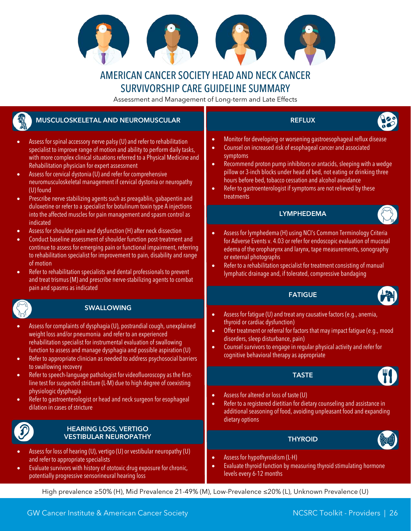

### AMERICAN CANCER SOCIETY HEAD AND NECK CANCER SURVIVORSHIP CARE GUIDELINE SUMMARY

Assessment and Management of Long-term and Late Effects

### <span id="page-26-0"></span>MUSCULOSKELETAL AND NEUROMUSCULAR

- Assess for spinal accessory nerve palsy (U) and refer to rehabilitation specialist to improve range of motion and ability to perform daily tasks, with more complex clinical situations referred to a Physical Medicine and Rehabilitation physician for expert assessment
- Assess for cervical dystonia (U) and refer for comprehensive neuromusculoskeletal management if cervical dystonia or neuropathy (U) found
- Prescribe nerve stabilizing agents such as preagablin, gabapentin and duloxetine or refer to a specialist for botulinum toxin type A injections into the affected muscles for pain management and spasm control as indicated
- Assess for shoulder pain and dysfunction (H) after neck dissection
- Conduct baseline assessment of shoulder function post-treatment and continue to assess for emerging pain or functional impairment, referring to rehabilitation specialist for improvement to pain, disability and range of motion
- Refer to rehabilitation specialists and dental professionals to prevent and treat trismus (M) and prescribe nerve-stabilizing agents to combat pain and spasms as indicated



#### SWALLOWING

- Assess for complaints of dysphagia (U), postrandial cough, unexplained weight loss and/or pneumonia and refer to an experienced rehabilitation specialist for instrumental evaluation of swallowing function to assess and manage dysphagia and possible aspiration (U)
- Refer to appropriate clinician as needed to address psychosocial barriers to swallowing recovery
- Refer to speech-language pathologist for videofluoroscopy as the firstline test for suspected stricture (L-M) due to high degree of coexisting physiologic dysphagia
- Refer to gastroenterologist or head and neck surgeon for esophageal dilation in cases of stricture

#### HEARING LOSS, VERTIGO VESTIBULAR NEUROPATHY **THAT IN THE SERVICE SERVICE SERVICE SERVICE SERVICE SERVICE SERVICE SERVICE SERVICE SERVICE**

- Assess for loss of hearing (U), vertigo (U) or vestibular neuropathy (U) and refer to appropriate specialists
- Evaluate survivors with history of ototoxic drug exposure for chronic, potentially progressive sensorineural hearing loss

#### **REFLUX**

- 
- Monitor for developing or worsening gastroesophageal reflux disease
- Counsel on increased risk of esophageal cancer and associated symptoms
- Recommend proton pump inhibitors or antacids, sleeping with a wedge pillow or 3-inch blocks under head of bed, not eating or drinking three hours before bed, tobacco cessation and alcohol avoidance
- Refer to gastroenterologist if symptoms are not relieved by these treatments

#### LYMPHEDEMA



- Assess for lymphedema (H) using NCI's Common Terminology Criteria for Adverse Events v. 4.03 or refer for endoscopic evaluation of mucosal edema of the oropharynx and larynx, tape measurements, sonography or external photographs
- Refer to a rehabilitation specialist for treatment consisting of manual lymphatic drainage and, if tolerated, compressive bandaging

#### **FATIGUE**



- Assess for fatigue (U) and treat any causative factors (e.g., anemia, thyroid or cardiac dysfunction)
- Offer treatment or referral for factors that may impact fatigue (e.g., mood disorders, sleep disturbance, pain)
- Counsel survivors to engage in regular physical activity and refer for cognitive behavioral therapy as appropriate

#### TASTE



- Assess for altered or loss of taste (U)
- Refer to a registered dietitian for dietary counseling and assistance in additional seasoning of food, avoiding unpleasant food and expanding dietary options



- Assess for hypothyroidism (L-H)
- Evaluate thyroid function by measuring thyroid stimulating hormone levels every 6-12 months

High prevalence ≥50% (H), Mid Prevalence 21-49% (M), Low-Prevalence ≤20% (L), Unknown Prevalence (U)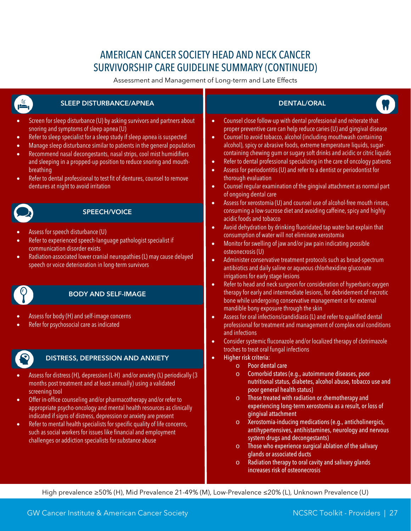# AMERICAN CANCER SOCIETY HEAD AND NECK CANCER SURVIVORSHIP CARE GUIDELINE SUMMARY (CONTINUED)

Assessment and Management of Long-term and Late Effects

| <b>SLEEP DISTURBANCE/APNEA</b><br>تھا                                                                                                                                                                                                                                                                                                                                                                                                                                                                                                                                                                                    | <b>DENTAL/ORAL</b>                                                                                                                                                                                                                                                                                                                                                                                                                                                                                                                                                                                                                                                                                                                                                                                                    |  |
|--------------------------------------------------------------------------------------------------------------------------------------------------------------------------------------------------------------------------------------------------------------------------------------------------------------------------------------------------------------------------------------------------------------------------------------------------------------------------------------------------------------------------------------------------------------------------------------------------------------------------|-----------------------------------------------------------------------------------------------------------------------------------------------------------------------------------------------------------------------------------------------------------------------------------------------------------------------------------------------------------------------------------------------------------------------------------------------------------------------------------------------------------------------------------------------------------------------------------------------------------------------------------------------------------------------------------------------------------------------------------------------------------------------------------------------------------------------|--|
| Screen for sleep disturbance (U) by asking survivors and partners about<br>snoring and symptoms of sleep apnea (U)<br>Refer to sleep specialist for a sleep study if sleep apnea is suspected<br>$\bullet$<br>Manage sleep disturbance similar to patients in the general population<br>$\bullet$<br>Recommend nasal decongestants, nasal strips, cool mist humidifiers<br>$\bullet$<br>and sleeping in a propped-up position to reduce snoring and mouth-<br>breathing<br>Refer to dental professional to test fit of dentures, counsel to remove<br>$\bullet$<br>dentures at night to avoid irritation                 | Counsel close follow-up with dental professional and reiterate that<br>$\bullet$<br>proper preventive care can help reduce caries (U) and gingival disease<br>Counsel to avoid tobacco, alcohol (including mouthwash containing<br>$\bullet$<br>alcohol), spicy or abrasive foods, extreme temperature liquids, sugar-<br>containing chewing gum or sugary soft drinks and acidic or citric liquids<br>Refer to dental professional specializing in the care of oncology patients<br>$\bullet$<br>Assess for periodontitis (U) and refer to a dentist or periodontist for<br>$\bullet$<br>thorough evaluation<br>Counsel regular examination of the gingival attachment as normal part<br>$\bullet$<br>of ongoing dental care<br>Assess for xerostomia (U) and counsel use of alcohol-free mouth rinses,<br>$\bullet$ |  |
| <b>SPEECH/VOICE</b>                                                                                                                                                                                                                                                                                                                                                                                                                                                                                                                                                                                                      | consuming a low-sucrose diet and avoiding caffeine, spicy and highly<br>acidic foods and tobacco                                                                                                                                                                                                                                                                                                                                                                                                                                                                                                                                                                                                                                                                                                                      |  |
| Assess for speech disturbance (U)<br>Refer to experienced speech-language pathologist specialist if<br>$\bullet$<br>communication disorder exists<br>Radiation-associated lower cranial neuropathies (L) may cause delayed<br>$\bullet$<br>speech or voice deterioration in long-term survivors                                                                                                                                                                                                                                                                                                                          | Avoid dehydration by drinking fluoridated tap water but explain that<br>$\bullet$<br>consumption of water will not eliminate xerostomia<br>Monitor for swelling of jaw and/or jaw pain indicating possible<br>$\bullet$<br>osteonecrosis (U)<br>Administer conservative treatment protocols such as broad-spectrum<br>$\bullet$<br>antibiotics and daily saline or aqueous chlorhexidine gluconate<br>irrigations for early stage lesions<br>Refer to head and neck surgeon for consideration of hyperbaric oxygen<br>$\bullet$                                                                                                                                                                                                                                                                                       |  |
| <b>BODY AND SELF-IMAGE</b>                                                                                                                                                                                                                                                                                                                                                                                                                                                                                                                                                                                               | therapy for early and intermediate lesions, for debridement of necrotic<br>bone while undergoing conservative management or for external                                                                                                                                                                                                                                                                                                                                                                                                                                                                                                                                                                                                                                                                              |  |
| Assess for body (H) and self-image concerns<br>Refer for psychosocial care as indicated                                                                                                                                                                                                                                                                                                                                                                                                                                                                                                                                  | mandible bony exposure through the skin<br>Assess for oral infections/candidiasis (L) and refer to qualified dental<br>$\bullet$<br>professional for treatment and management of complex oral conditions<br>and infections<br>Consider systemic fluconazole and/or localized therapy of clotrimazole<br>$\bullet$                                                                                                                                                                                                                                                                                                                                                                                                                                                                                                     |  |
| DISTRESS, DEPRESSION AND ANXIETY                                                                                                                                                                                                                                                                                                                                                                                                                                                                                                                                                                                         | troches to treat oral fungal infections<br>Higher risk criteria:<br>$\bullet$<br>Poor dental care<br>$\circ$                                                                                                                                                                                                                                                                                                                                                                                                                                                                                                                                                                                                                                                                                                          |  |
| Assess for distress (H), depression (L-H) and/or anxiety (L) periodically (3<br>$\bullet$<br>months post treatment and at least annually) using a validated<br>screening tool<br>Offer in-office counseling and/or pharmacotherapy and/or refer to<br>appropriate psycho-oncology and mental health resources as clinically<br>indicated if signs of distress, depression or anxiety are present<br>Refer to mental health specialists for specific quality of life concerns,<br>$\bullet$<br>such as social workers for issues like financial and employment<br>challenges or addiction specialists for substance abuse | Comorbid states (e.g., autoimmune diseases, poor<br>$\circ$<br>nutritional status, diabetes, alcohol abuse, tobacco use and<br>poor general health status)<br>Those treated with radiation or chemotherapy and<br>$\circ$<br>experiencing long-term xerostomia as a result, or loss of<br>gingival attachment<br>Xerostomia-inducing medications (e.g., anticholinergics,<br>$\circ$<br>antihypertensives, antihistamines, neurology and nervous<br>system drugs and decongestants)<br>Those who experience surgical ablation of the salivary<br>$\circ$<br>glands or associated ducts<br>Radiation therapy to oral cavity and salivary glands<br>$\circ$<br>increases risk of osteonecrosis                                                                                                                          |  |

High prevalence ≥50% (H), Mid Prevalence 21-49% (M), Low-Prevalence ≤20% (L), Unknown Prevalence (U)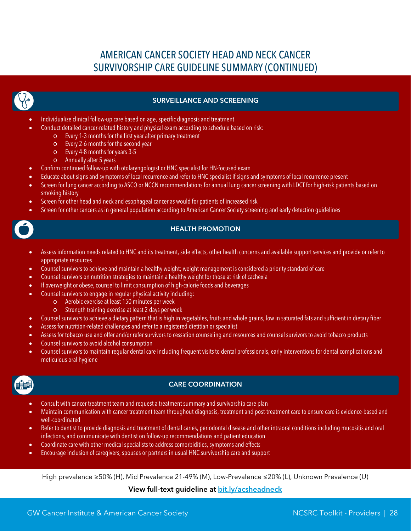# AMERICAN CANCER SOCIETY HEAD AND NECK CANCER SURVIVORSHIP CARE GUIDELINE SUMMARY (CONTINUED)



#### SURVEILLANCE AND SCREENING

- Individualize clinical follow-up care based on age, specific diagnosis and treatment
	- Conduct detailed cancer-related history and physical exam according to schedule based on risk:
		- o Every 1-3 months for the first year after primary treatment
		- o Every 2-6 months for the second year
		- o Every 4-8 months for years 3-5
		- o Annually after 5 years
- Confirm continued follow-up with otolaryngologist or HNC specialist for HN-focused exam
- Educate about signs and symptoms of local recurrence and refer to HNC specialist if signs and symptoms of local recurrence present
- Screen for lung cancer according to ASCO or NCCN recommendations for annual lung cancer screening with LDCT for high-risk patients based on smoking history
- Screen for other head and neck and esophageal cancer as would for patients of increased risk
- Screen for other cancers as in general population according t[o American Cancer Society screening and early detection guidelines](http://www.cancer.org/healthy/findcancerearly/cancerscreeningguidelines/american-cancer-society-guidelines-for-the-early-detection-of-cancer)

#### **HEALTH PROMOTION**

- Assess information needs related to HNC and its treatment, side effects, other health concerns and available support services and provide or refer to appropriate resources
- Counsel survivors to achieve and maintain a healthy weight; weight management is considered a priority standard of care
- Counsel survivors on nutrition strategies to maintain a healthy weight for those at risk of cachexia
- If overweight or obese, counsel to limit consumption of high-calorie foods and beverages
- Counsel survivors to engage in regular physical activity including:
	- o Aerobic exercise at least 150 minutes per week
	- Strength training exercise at least 2 days per week
- Counsel survivors to achieve a dietary pattern that is high in vegetables, fruits and whole grains, low in saturated fats and sufficient in dietary fiber
- Assess for nutrition-related challenges and refer to a registered dietitian or specialist
- Assess for tobacco use and offer and/or refer survivors to cessation counseling and resources and counsel survivors to avoid tobacco products
- Counsel survivors to avoid alcohol consumption
- Counsel survivors to maintain regular dental care including frequent visits to dental professionals, early interventions for dental complications and meticulous oral hygiene



#### CARE COORDINATION

- Consult with cancer treatment team and request a treatment summary and survivorship care plan
- Maintain communication with cancer treatment team throughout diagnosis, treatment and post-treatment care to ensure care is evidence-based and well-coordinated
- Refer to dentist to provide diagnosis and treatment of dental caries, periodontal disease and other intraoral conditions including mucositis and oral infections, and communicate with dentist on follow-up recommendations and patient education
- Coordinate care with other medical specialists to address comorbidities, symptoms and effects
- Encourage inclusion of caregivers, spouses or partners in usual HNC survivorship care and support

High prevalence ≥50% (H), Mid Prevalence 21-49% (M), Low-Prevalence ≤20% (L), Unknown Prevalence (U)

#### View full-text guideline at [bit.ly/acsheadneck](http://bit.ly/acsheadneck)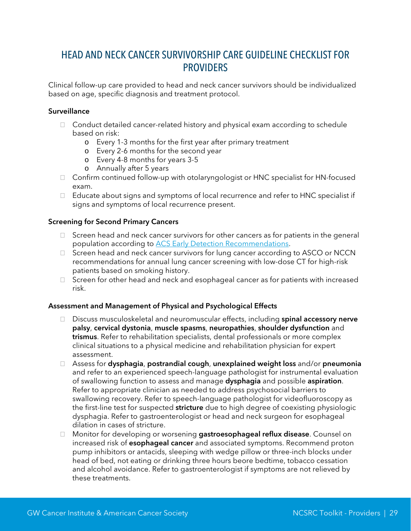### <span id="page-29-0"></span>HEAD AND NECK CANCER SURVIVORSHIP CARE GUIDELINE CHECKLIST FOR **PROVIDERS**

Clinical follow-up care provided to head and neck cancer survivors should be individualized based on age, specific diagnosis and treatment protocol.

#### **Surveillance**

- □ Conduct detailed cancer-related history and physical exam according to schedule based on risk:
	- o Every 1-3 months for the first year after primary treatment
	- o Every 2-6 months for the second year
	- o Every 4-8 months for years 3-5
	- o Annually after 5 years
- $\Box$  Confirm continued follow-up with otolaryngologist or HNC specialist for HN-focused exam.
- Educate about signs and symptoms of local recurrence and refer to HNC specialist if signs and symptoms of local recurrence present.

#### Screening for Second Primary Cancers

- $\Box$  Screen head and neck cancer survivors for other cancers as for patients in the general population according to [ACS Early Detection Recommendations.](http://www.cancer.org/healthy/findcancerearly/cancerscreeningguidelines/american-cancer-society-guidelines-for-the-early-detection-of-cancer)
- $\Box$  Screen head and neck cancer survivors for lung cancer according to ASCO or NCCN recommendations for annual lung cancer screening with low-dose CT for high-risk patients based on smoking history.
- $\Box$  Screen for other head and neck and esophageal cancer as for patients with increased risk.

#### Assessment and Management of Physical and Psychological Effects

- □ Discuss musculoskeletal and neuromuscular effects, including spinal accessory nerve palsy, cervical dystonia, muscle spasms, neuropathies, shoulder dysfunction and trismus. Refer to rehabilitation specialists, dental professionals or more complex clinical situations to a physical medicine and rehabilitation physician for expert assessment.
- □ Assess for dysphagia, postrandial cough, unexplained weight loss and/or pneumonia and refer to an experienced speech-language pathologist for instrumental evaluation of swallowing function to assess and manage dysphagia and possible aspiration. Refer to appropriate clinician as needed to address psychosocial barriers to swallowing recovery. Refer to speech-language pathologist for videofluoroscopy as the first-line test for suspected stricture due to high degree of coexisting physiologic dysphagia. Refer to gastroenterologist or head and neck surgeon for esophageal dilation in cases of stricture.
- □ Monitor for developing or worsening gastroesophageal reflux disease. Counsel on increased risk of **esophageal cancer** and associated symptoms. Recommend proton pump inhibitors or antacids, sleeping with wedge pillow or three-inch blocks under head of bed, not eating or drinking three hours beore bedtime, tobacco cessation and alcohol avoidance. Refer to gastroenterologist if symptoms are not relieved by these treatments.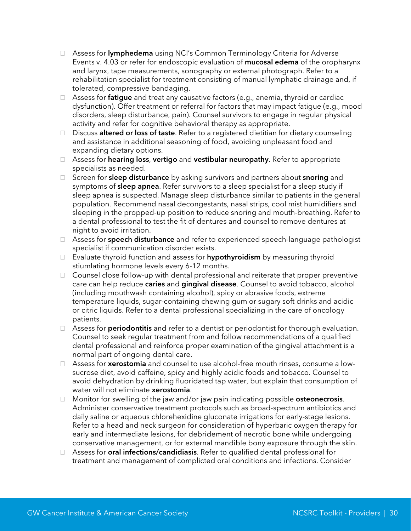- □ Assess for lymphedema using NCI's Common Terminology Criteria for Adverse Events v. 4.03 or refer for endoscopic evaluation of mucosal edema of the oropharynx and larynx, tape measurements, sonography or external photograph. Refer to a rehabilitation specialist for treatment consisting of manual lymphatic drainage and, if tolerated, compressive bandaging.
- $\Box$  Assess for **fatigue** and treat any causative factors (e.g., anemia, thyroid or cardiac dysfunction). Offer treatment or referral for factors that may impact fatigue (e.g., mood disorders, sleep disturbance, pain). Counsel survivors to engage in regular physical activity and refer for cognitive behavioral therapy as appropriate.
- □ Discuss altered or loss of taste. Refer to a registered dietitian for dietary counseling and assistance in additional seasoning of food, avoiding unpleasant food and expanding dietary options.
- $\Box$  Assess for **hearing loss, vertigo** and **vestibular neuropathy**. Refer to appropriate specialists as needed.
- $\Box$  Screen for **sleep disturbance** by asking survivors and partners about **snoring** and symptoms of **sleep apnea**. Refer survivors to a sleep specialist for a sleep study if sleep apnea is suspected. Manage sleep disturbance similar to patients in the general population. Recommend nasal decongestants, nasal strips, cool mist humidifiers and sleeping in the propped-up position to reduce snoring and mouth-breathing. Refer to a dental professional to test the fit of dentures and counsel to remove dentures at night to avoid irritation.
- □ Assess for speech disturbance and refer to experienced speech-language pathologist specialist if communication disorder exists.
- $\Box$  Evaluate thyroid function and assess for **hypothyroidism** by measuring thyroid stiumlating hormone levels every 6-12 months.
- $\Box$  Counsel close follow-up with dental professional and reiterate that proper preventive care can help reduce caries and gingival disease. Counsel to avoid tobacco, alcohol (including mouthwash containing alcohol), spicy or abrasive foods, extreme temperature liquids, sugar-containing chewing gum or sugary soft drinks and acidic or citric liquids. Refer to a dental professional specializing in the care of oncology patients.
- □ Assess for **periodontitis** and refer to a dentist or periodontist for thorough evaluation. Counsel to seek regular treatment from and follow recommendations of a qualified dental professional and reinforce proper examination of the gingival attachment is a normal part of ongoing dental care.
- $\Box$  Assess for **xerostomia** and counsel to use alcohol-free mouth rinses, consume a lowsucrose diet, avoid caffeine, spicy and highly acidic foods and tobacco. Counsel to avoid dehydration by drinking fluoridated tap water, but explain that consumption of water will not eliminate xerostomia.
- $\Box$  Monitor for swelling of the jaw and/or jaw pain indicating possible **osteonecrosis.** Administer conservative treatment protocols such as broad-spectrum antibiotics and daily saline or aqueous chlorehexidine gluconate irrigations for early-stage lesions. Refer to a head and neck surgeon for consideration of hyperbaric oxygen therapy for early and intermediate lesions, for debridement of necrotic bone while undergoing conservative management, or for external mandible bony exposure through the skin.
- $\Box$  Assess for **oral infections/candidiasis**. Refer to qualified dental professional for treatment and management of complicted oral conditions and infections. Consider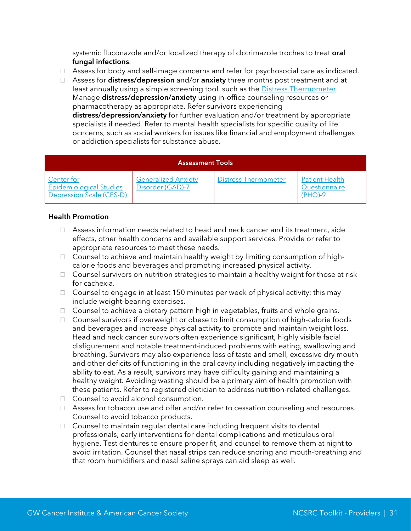systemic fluconazole and/or localized therapy of clotrimazole troches to treat oral fungal infections.

- $\Box$  Assess for body and self-image concerns and refer for psychosocial care as indicated.
- □ Assess for distress/depression and/or anxiety three months post treatment and at least annually using a simple screening tool, such as the **Distress Thermometer**. Manage distress/depression/anxiety using in-office counseling resources or pharmacotherapy as appropriate. Refer survivors experiencing distress/depression/anxiety for further evaluation and/or treatment by appropriate specialists if needed. Refer to mental health specialists for specific quality of life

ocncerns, such as social workers for issues like financial and employment challenges or addiction specialists for substance abuse.

| <b>Assessment Tools</b>                                                  |                                                |                             |                                        |  |  |
|--------------------------------------------------------------------------|------------------------------------------------|-----------------------------|----------------------------------------|--|--|
| Center for<br><b>Epidemiological Studies</b><br>Depression Scale (CES-D) | <b>Generalized Anxiety</b><br>Disorder (GAD)-7 | <b>Distress Thermometer</b> | <b>Patient Health</b><br>Questionnaire |  |  |

#### Health Promotion

- $\Box$  Assess information needs related to head and neck cancer and its treatment, side effects, other health concerns and available support services. Provide or refer to appropriate resources to meet these needs.
- □ Counsel to achieve and maintain healthy weight by limiting consumption of highcalorie foods and beverages and promoting increased physical activity.
- $\Box$  Counsel survivors on nutrition strategies to maintain a healthy weight for those at risk for cachexia.
- $\Box$  Counsel to engage in at least 150 minutes per week of physical activity; this may include weight-bearing exercises.
- $\Box$  Counsel to achieve a dietary pattern high in vegetables, fruits and whole grains.
- $\Box$  Counsel survivors if overweight or obese to limit consumption of high-calorie foods and beverages and increase physical activity to promote and maintain weight loss. Head and neck cancer survivors often experience significant, highly visible facial disfigurement and notable treatment-induced problems with eating, swallowing and breathing. Survivors may also experience loss of taste and smell, excessive dry mouth and other deficits of functioning in the oral cavity including negatively impacting the ability to eat. As a result, survivors may have difficulty gaining and maintaining a healthy weight. Avoiding wasting should be a primary aim of health promotion with these patients. Refer to registered dietician to address nutrition-related challenges.
- □ Counsel to avoid alcohol consumption.
- □ Assess for tobacco use and offer and/or refer to cessation counseling and resources. Counsel to avoid tobacco products.
- $\Box$  Counsel to maintain regular dental care including frequent visits to dental professionals, early interventions for dental complications and meticulous oral hygiene. Test dentures to ensure proper fit, and counsel to remove them at night to avoid irritation. Counsel that nasal strips can reduce snoring and mouth-breathing and that room humidifiers and nasal saline sprays can aid sleep as well.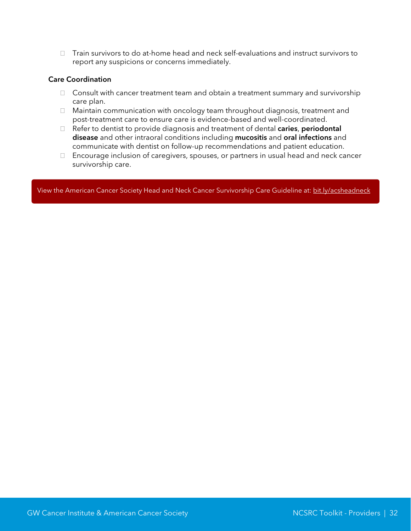$\Box$  Train survivors to do at-home head and neck self-evaluations and instruct survivors to report any suspicions or concerns immediately.

#### Care Coordination

- $\Box$  Consult with cancer treatment team and obtain a treatment summary and survivorship care plan.
- $\Box$  Maintain communication with oncology team throughout diagnosis, treatment and post-treatment care to ensure care is evidence-based and well-coordinated.
- $\Box$  Refer to dentist to provide diagnosis and treatment of dental caries, periodontal disease and other intraoral conditions including mucositis and oral infections and communicate with dentist on follow-up recommendations and patient education.
- Encourage inclusion of caregivers, spouses, or partners in usual head and neck cancer survivorship care.

View the American Cancer Society Head and Neck Cancer Survivorship Care Guideline at[: bit.ly/acsheadneck](http://bit.ly/acsheadneck)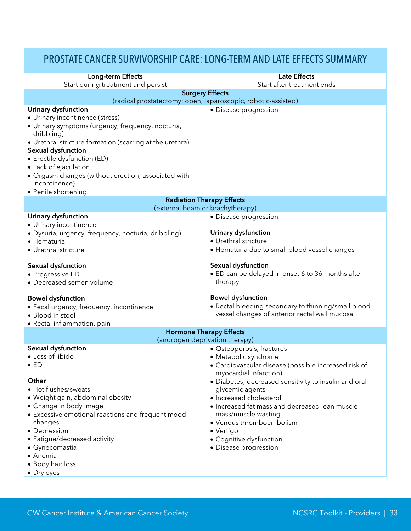### <span id="page-33-0"></span>PROSTATE CANCER SURVIVORSHIP CARE: LONG-TERM AND LATE EFFECTS SUMMARY

| Long-term Effects                                                                                                                                                                                                                                                                                                                                                         | <b>Late Effects</b>                                                                                                                                                                                                                                                                                                                                                                                              |  |  |  |
|---------------------------------------------------------------------------------------------------------------------------------------------------------------------------------------------------------------------------------------------------------------------------------------------------------------------------------------------------------------------------|------------------------------------------------------------------------------------------------------------------------------------------------------------------------------------------------------------------------------------------------------------------------------------------------------------------------------------------------------------------------------------------------------------------|--|--|--|
| Start during treatment and persist                                                                                                                                                                                                                                                                                                                                        | Start after treatment ends                                                                                                                                                                                                                                                                                                                                                                                       |  |  |  |
| <b>Surgery Effects</b>                                                                                                                                                                                                                                                                                                                                                    |                                                                                                                                                                                                                                                                                                                                                                                                                  |  |  |  |
| (radical prostatectomy: open, laparoscopic, robotic-assisted)                                                                                                                                                                                                                                                                                                             |                                                                                                                                                                                                                                                                                                                                                                                                                  |  |  |  |
| <b>Urinary dysfunction</b><br>• Urinary incontinence (stress)<br>· Urinary symptoms (urgency, frequency, nocturia,<br>dribbling)<br>• Urethral stricture formation (scarring at the urethra)<br>Sexual dysfunction<br>• Erectile dysfunction (ED)<br>• Lack of ejaculation<br>· Orgasm changes (without erection, associated with<br>incontinence)<br>• Penile shortening | • Disease progression                                                                                                                                                                                                                                                                                                                                                                                            |  |  |  |
| <b>Radiation Therapy Effects</b>                                                                                                                                                                                                                                                                                                                                          |                                                                                                                                                                                                                                                                                                                                                                                                                  |  |  |  |
| (external beam or brachytherapy)                                                                                                                                                                                                                                                                                                                                          |                                                                                                                                                                                                                                                                                                                                                                                                                  |  |  |  |
| Urinary dysfunction<br>· Urinary incontinence<br>· Dysuria, urgency, frequency, nocturia, dribbling)<br>· Hematuria<br>· Urethral stricture                                                                                                                                                                                                                               | • Disease progression<br>Urinary dysfunction<br>· Urethral stricture<br>• Hematuria due to small blood vessel changes                                                                                                                                                                                                                                                                                            |  |  |  |
| Sexual dysfunction<br>• Progressive ED<br>• Decreased semen volume<br><b>Bowel dysfunction</b>                                                                                                                                                                                                                                                                            | Sexual dysfunction<br>• ED can be delayed in onset 6 to 36 months after<br>therapy<br><b>Bowel dysfunction</b>                                                                                                                                                                                                                                                                                                   |  |  |  |
| • Fecal urgency, frequency, incontinence<br>• Blood in stool<br>• Rectal inflammation, pain                                                                                                                                                                                                                                                                               | • Rectal bleeding secondary to thinning/small blood<br>vessel changes of anterior rectal wall mucosa                                                                                                                                                                                                                                                                                                             |  |  |  |
| <b>Hormone Therapy Effects</b><br>(androgen deprivation therapy)                                                                                                                                                                                                                                                                                                          |                                                                                                                                                                                                                                                                                                                                                                                                                  |  |  |  |
| Sexual dysfunction<br>• Loss of libido<br>$\bullet$ ED<br>Other<br>• Hot flushes/sweats<br>· Weight gain, abdominal obesity<br>• Change in body image<br>• Excessive emotional reactions and frequent mood<br>changes<br>• Depression<br>• Fatigue/decreased activity<br>• Gynecomastia<br>• Anemia<br>• Body hair loss<br>• Dry eyes                                     | · Osteoporosis, fractures<br>• Metabolic syndrome<br>• Cardiovascular disease (possible increased risk of<br>myocardial infarction)<br>• Diabetes; decreased sensitivity to insulin and oral<br>glycemic agents<br>· Increased cholesterol<br>• Increased fat mass and decreased lean muscle<br>mass/muscle wasting<br>• Venous thromboembolism<br>• Vertigo<br>• Cognitive dysfunction<br>· Disease progression |  |  |  |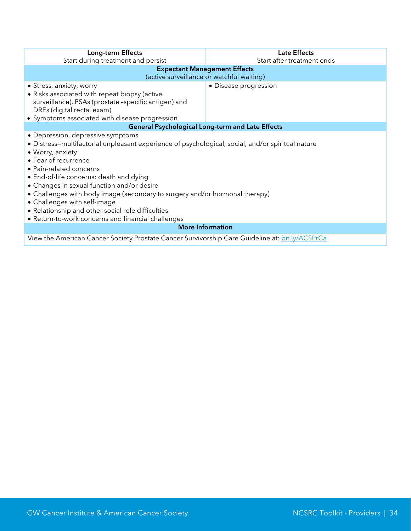| <b>Long-term Effects</b>                                                                                                                                                                                                                                                                                                                                                                                                                                                                                                         | <b>Late Effects</b>                       |  |  |  |  |
|----------------------------------------------------------------------------------------------------------------------------------------------------------------------------------------------------------------------------------------------------------------------------------------------------------------------------------------------------------------------------------------------------------------------------------------------------------------------------------------------------------------------------------|-------------------------------------------|--|--|--|--|
| Start during treatment and persist                                                                                                                                                                                                                                                                                                                                                                                                                                                                                               | Start after treatment ends                |  |  |  |  |
|                                                                                                                                                                                                                                                                                                                                                                                                                                                                                                                                  | <b>Expectant Management Effects</b>       |  |  |  |  |
|                                                                                                                                                                                                                                                                                                                                                                                                                                                                                                                                  | (active surveillance or watchful waiting) |  |  |  |  |
| • Stress, anxiety, worry<br>• Risks associated with repeat biopsy (active                                                                                                                                                                                                                                                                                                                                                                                                                                                        | • Disease progression                     |  |  |  |  |
| surveillance), PSAs (prostate -specific antigen) and<br>DREs (digital rectal exam)                                                                                                                                                                                                                                                                                                                                                                                                                                               |                                           |  |  |  |  |
| • Symptoms associated with disease progression                                                                                                                                                                                                                                                                                                                                                                                                                                                                                   |                                           |  |  |  |  |
| <b>General Psychological Long-term and Late Effects</b>                                                                                                                                                                                                                                                                                                                                                                                                                                                                          |                                           |  |  |  |  |
| • Depression, depressive symptoms<br>· Distress-multifactorial unpleasant experience of psychological, social, and/or spiritual nature<br>• Worry, anxiety<br>• Fear of recurrence<br>· Pain-related concerns<br>• End-of-life concerns: death and dying<br>• Changes in sexual function and/or desire<br>• Challenges with body image (secondary to surgery and/or hormonal therapy)<br>• Challenges with self-image<br>• Relationship and other social role difficulties<br>• Return-to-work concerns and financial challenges |                                           |  |  |  |  |
| <b>More Information</b>                                                                                                                                                                                                                                                                                                                                                                                                                                                                                                          |                                           |  |  |  |  |
| View the American Cancer Society Prostate Cancer Survivorship Care Guideline at: bit.ly/ACSPrCa                                                                                                                                                                                                                                                                                                                                                                                                                                  |                                           |  |  |  |  |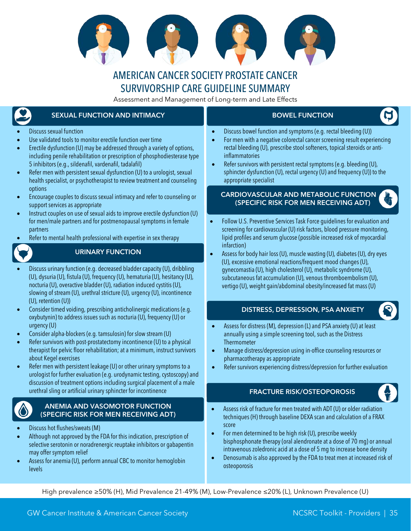

### AMERICAN CANCER SOCIETY PROSTATE CANCER SURVIVORSHIP CARE GUIDELINE SUMMARY

Assessment and Management of Long-term and Late Effects

### <span id="page-35-0"></span>SEXUAL FUNCTION AND INTIMACY

#### • Discuss sexual function

- Use validated tools to monitor erectile function over time
- Erectile dysfunction (U) may be addressed through a variety of options, including penile rehabilitation or prescription of phosphodiesterase type 5 inhibitors (e.g., sildenafil, vardenafil, tadalafil)
- Refer men with persistent sexual dysfunction (U) to a urologist, sexual health specialist, or psychotherapist to review treatment and counseling options
- Encourage couples to discuss sexual intimacy and refer to counseling or support services as appropriate
- Instruct couples on use of sexual aids to improve erectile dysfunction (U) for men/male partners and for postmenopausal symptoms in female partners
- Refer to mental health professional with expertise in sex therapy

#### URINARY FUNCTION

- Discuss urinary function (e.g. decreased bladder capacity(U), dribbling (U), dysuria (U), fistula (U), frequency (U), hematuria (U), hesitancy (U), nocturia (U), overactive bladder (U), radiation induced cystitis (U), slowing of stream (U), urethral stricture (U), urgency (U), incontinence (U), retention (U))
- Consider timed voiding, prescribing anticholinergic medications (e.g. oxybutynin) to address issues such as nocturia (U), frequency (U) or urgency (U)
- Consider alpha-blockers (e.g. tamsulosin) for slow stream (U)
- Refer survivors with post-prostatectomy incontinence (U) to a physical therapist for pelvic floor rehabilitation; at a minimum, instruct survivors about Kegel exercises
- Refer men with persistent leakage (U) or other urinary symptoms to a urologist for further evaluation (e.g. urodynamic testing, cystoscopy) and discussion of treatment options including surgical placement of a male urethral sling or artificial urinary sphincter for incontinence

#### ANEMIA AND VASOMOTOR FUNCTION (SPECIFIC RISK FOR MEN RECEIVING ADT)

- Discuss hot flushes/sweats (M)
- Although not approved by the FDA for this indication, prescription of selective serotonin or noradrenergic reuptake inhibitors or gabapentin may offer symptom relief
- Assess for anemia (U), perform annual CBC to monitor hemoglobin levels

#### BOWEL FUNCTION

- Discuss bowel function and symptoms (e.g. rectal bleeding (U))
- For men with a negative colorectal cancer screening result experiencing rectal bleeding (U), prescribe stool softeners, topical steroids or antiinflammatories
- Refer survivors with persistent rectal symptoms (e.g. bleeding (U), sphincter dysfunction (U), rectal urgency (U) and frequency (U)) to the appropriate specialist

#### CARDIOVASCULAR AND METABOLIC FUNCTION (SPECIFIC RISK FOR MEN RECEIVING ADT)

- Follow U.S. Preventive Services Task Force guidelines for evaluation and screening for cardiovascular (U) risk factors, blood pressure monitoring, lipid profiles and serum glucose (possible increased risk of myocardial infarction)
- Assess for body hair loss (U), muscle wasting (U), diabetes (U), dry eyes (U), excessive emotional reactions/frequent mood changes (U), gynecomastia (U), high cholesterol (U), metabolic syndrome (U), subcutaneous fat accumulation (U), venous thromboembolism (U), vertigo (U), weight gain/abdominal obesity/increased fat mass (U)

#### DISTRESS, DEPRESSION, PSA ANXIETY

- Assess for distress (M), depression (L) and PSA anxiety (U) at least annually using a simple screening tool, such as the Distress Thermometer
- Manage distress/depression using in-office counseling resources or pharmacotherapy as appropriate
- Refer survivors experiencing distress/depression for further evaluation

#### FRACTURE RISK/OSTEOPOROSIS

- 
- Assess risk of fracture for men treated with ADT (U) or older radiation techniques (H) through baseline DEXA scan and calculation of a FRAX score
- For men determined to be high risk (U), prescribe weekly bisphosphonate therapy (oral alendronate at a dose of 70 mg) or annual intravenous zoledronic acid at a dose of 5 mg to increase bone density
- Denosumab is also approved by the FDA to treat men at increased risk of osteoporosis

High prevalence ≥50% (H), Mid Prevalence 21-49% (M), Low-Prevalence ≤20% (L), Unknown Prevalence (U)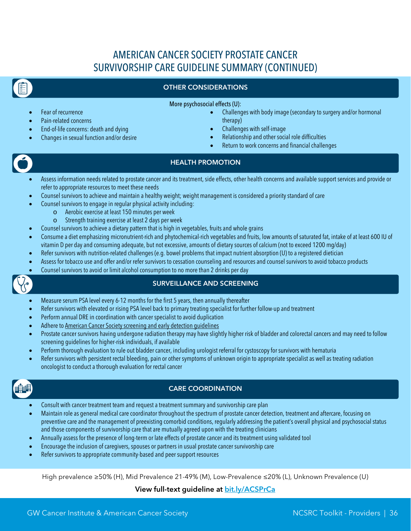# AMERICAN CANCER SOCIETY PROSTATE CANCER SURVIVORSHIP CARE GUIDELINE SUMMARY (CONTINUED)

#### OTHER CONSIDERATIONS

More psychosocial effects (U):

- Fear of recurrence
- Pain-related concerns
- End-of-life concerns: death and dying
- Changes in sexual function and/or desire
- Challenges with body image (secondary to surgery and/or hormonal therapy)
- Challenges with self-image
- Relationship and other social role difficulties
- Return to work concerns and financial challenges

#### HEALTH PROMOTION

- Assess information needs related to prostate cancer and its treatment, side effects, other health concerns and available support services and provide or refer to appropriate resources to meet these needs
- Counsel survivors to achieve and maintain a healthy weight; weight management is considered a priority standard of care
	- Counsel survivors to engage in regular physical activity including:
		- o Aerobic exercise at least 150 minutes per week
		- Strength training exercise at least 2 days per week
- Counsel survivors to achieve a dietary pattern that is high in vegetables, fruits and whole grains
- Consume a diet emphasizing micronutrient-rich and phytochemical-rich vegetables and fruits, low amounts of saturated fat, intake of at least 600 IU of vitamin D per day and consuming adequate, but not excessive, amounts of dietary sources of calcium (not to exceed 1200 mg/day)
- Refer survivors with nutrition-related challenges (e.g. bowel problems that impact nutrient absorption (U) to a registered dietician
- Assess for tobacco use and offer and/or refer survivors to cessation counseling and resources and counsel survivors to avoid tobacco products
- Counsel survivors to avoid or limit alcohol consumption to no more than 2 drinks per day

#### SURVEILLANCE AND SCREENING

- Measure serum PSA level every 6-12 months for the first 5 years, then annually thereafter
- Refer survivors with elevated or rising PSA level back to primary treating specialist for further follow-up and treatment
- Perform annual DRE in coordination with cancer specialist to avoid duplication
- Adhere to [American Cancer Society screening and early detection guidelines](http://www.cancer.org/healthy/findcancerearly/cancerscreeningguidelines/american-cancer-society-guidelines-for-the-early-detection-of-cancer)
- Prostate cancer survivors having undergone radiation therapy may have slightly higher risk of bladder and colorectal cancers and may need to follow screening guidelines for higher-risk individuals, if available
- Perform thorough evaluation to rule out bladder cancer, including urologist referral for cystoscopy for survivors with hematuria
- Refer survivors with persistent rectal bleeding, pain or other symptoms of unknown origin to appropriate specialist as well as treating radiation oncologist to conduct a thorough evaluation for rectal cancer



#### CARE COORDINATION

- Consult with cancer treatment team and request a treatment summary and survivorship care plan
- Maintain role as general medical care coordinator throughout the spectrum of prostate cancer detection, treatment and aftercare, focusing on preventive care and the management of preexisting comorbid conditions, regularly addressing the patient's overall physical and psychosocial status and those components of survivorship care that are mutually agreed upon with the treating clinicians
- Annually assess for the presence of long-term or late effects of prostate cancer and its treatment using validated tool
- Encourage the inclusion of caregivers, spouses or partners in usual prostate cancer survivorship care
- Refer survivors to appropriate community-based and peer support resources

High prevalence ≥50% (H), Mid Prevalence 21-49% (M), Low-Prevalence ≤20% (L), Unknown Prevalence (U)

View full-text guideline at [bit.ly/ACSPrCa](http://onlinelibrary.wiley.com/doi/10.3322/caac.21234/abstract)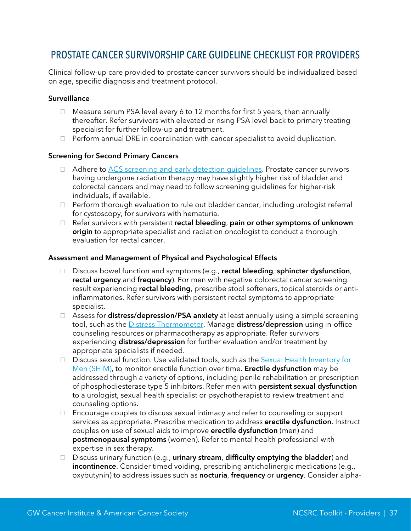### <span id="page-37-0"></span>PROSTATE CANCER SURVIVORSHIP CARE GUIDELINE CHECKLIST FOR PROVIDERS

Clinical follow-up care provided to prostate cancer survivors should be individualized based on age, specific diagnosis and treatment protocol.

#### **Surveillance**

- $\Box$  Measure serum PSA level every 6 to 12 months for first 5 years, then annually thereafter. Refer survivors with elevated or rising PSA level back to primary treating specialist for further follow-up and treatment.
- $\Box$  Perform annual DRE in coordination with cancer specialist to avoid duplication.

#### Screening for Second Primary Cancers

- □ Adhere to **ACS** screening and early detection guidelines. Prostate cancer survivors having undergone radiation therapy may have slightly higher risk of bladder and colorectal cancers and may need to follow screening guidelines for higher-risk individuals, if available.
- $\Box$  Perform thorough evaluation to rule out bladder cancer, including urologist referral for cystoscopy, for survivors with hematuria.
- □ Refer survivors with persistent rectal bleeding, pain or other symptoms of unknown origin to appropriate specialist and radiation oncologist to conduct a thorough evaluation for rectal cancer.

#### Assessment and Management of Physical and Psychological Effects

- □ Discuss bowel function and symptoms (e.g., rectal bleeding, sphincter dysfunction, rectal urgency and frequency). For men with negative colorectal cancer screening result experiencing rectal bleeding, prescribe stool softeners, topical steroids or antiinflammatories. Refer survivors with persistent rectal symptoms to appropriate specialist.
- $\Box$  Assess for **distress/depression/PSA anxiety** at least annually using a simple screening tool, such as the **Distress Thermometer**. Manage distress/depression using in-office counseling resources or pharmacotherapy as appropriate. Refer survivors experiencing distress/depression for further evaluation and/or treatment by appropriate specialists if needed.
- $\Box$  Discuss sexual function. Use validated tools, such as the Sexual Health Inventory for [Men \(SHIM\),](http://www.waterloowellingtondiabetes.ca/userContent/documents/Professional-Resources/shim.pdf) to monitor erectile function over time. Erectile dysfunction may be addressed through a variety of options, including penile rehabilitation or prescription of phosphodiesterase type 5 inhibitors. Refer men with **persistent sexual dysfunction** to a urologist, sexual health specialist or psychotherapist to review treatment and counseling options.
- $\Box$  Encourage couples to discuss sexual intimacy and refer to counseling or support services as appropriate. Prescribe medication to address erectile dysfunction. Instruct couples on use of sexual aids to improve **erectile dysfunction** (men) and postmenopausal symptoms (women). Refer to mental health professional with expertise in sex therapy.
- □ Discuss urinary function (e.g., **urinary stream, difficulty emptying the bladder**) and incontinence. Consider timed voiding, prescribing anticholinergic medications (e.g., oxybutynin) to address issues such as nocturia, frequency or urgency. Consider alpha-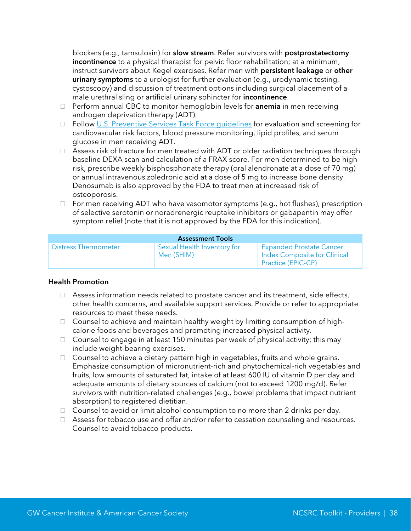blockers (e.g., tamsulosin) for **slow stream**. Refer survivors with **postprostatectomy** incontinence to a physical therapist for pelvic floor rehabilitation; at a minimum, instruct survivors about Kegel exercises. Refer men with persistent leakage or other urinary symptoms to a urologist for further evaluation (e.g., urodynamic testing, cystoscopy) and discussion of treatment options including surgical placement of a male urethral sling or artificial urinary sphincter for *incontinence*.

- $\Box$  Perform annual CBC to monitor hemoglobin levels for **anemia** in men receiving androgen deprivation therapy (ADT).
- □ Follow U.S. Preventive Services Task Force quidelines for evaluation and screening for cardiovascular risk factors, blood pressure monitoring, lipid profiles, and serum glucose in men receiving ADT.
- □ Assess risk of fracture for men treated with ADT or older radiation techniques through baseline DEXA scan and calculation of a FRAX score. For men determined to be high risk, prescribe weekly bisphosphonate therapy (oral alendronate at a dose of 70 mg) or annual intravenous zoledronic acid at a dose of 5 mg to increase bone density. Denosumab is also approved by the FDA to treat men at increased risk of osteoporosis.
- $\Box$  For men receiving ADT who have vasomotor symptoms (e.g., hot flushes), prescription of selective serotonin or noradrenergic reuptake inhibitors or gabapentin may offer symptom relief (note that it is not approved by the FDA for this indication).

|                      | <b>Assessment Tools</b>                   |                                                                                              |
|----------------------|-------------------------------------------|----------------------------------------------------------------------------------------------|
| Distress Thermometer | Sexual Health Inventory for<br>Men (SHIM) | <b>Expanded Prostate Cancer</b><br><b>Index Composite for Clinical</b><br>Practice (EPIC-CP) |

#### Health Promotion

- $\Box$  Assess information needs related to prostate cancer and its treatment, side effects, other health concerns, and available support services. Provide or refer to appropriate resources to meet these needs.
- $\Box$  Counsel to achieve and maintain healthy weight by limiting consumption of highcalorie foods and beverages and promoting increased physical activity.
- $\Box$  Counsel to engage in at least 150 minutes per week of physical activity; this may include weight-bearing exercises.
- □ Counsel to achieve a dietary pattern high in vegetables, fruits and whole grains. Emphasize consumption of micronutrient-rich and phytochemical-rich vegetables and fruits, low amounts of saturated fat, intake of at least 600 IU of vitamin D per day and adequate amounts of dietary sources of calcium (not to exceed 1200 mg/d). Refer survivors with nutrition-related challenges (e.g., bowel problems that impact nutrient absorption) to registered dietitian.
- $\Box$  Counsel to avoid or limit alcohol consumption to no more than 2 drinks per day.
- □ Assess for tobacco use and offer and/or refer to cessation counseling and resources. Counsel to avoid tobacco products.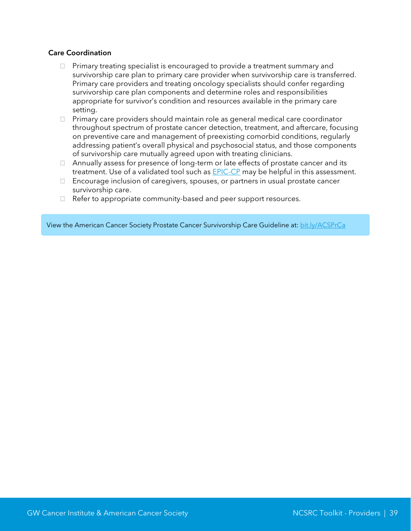#### Care Coordination

- $\Box$  Primary treating specialist is encouraged to provide a treatment summary and survivorship care plan to primary care provider when survivorship care is transferred. Primary care providers and treating oncology specialists should confer regarding survivorship care plan components and determine roles and responsibilities appropriate for survivor's condition and resources available in the primary care setting.
- $\Box$  Primary care providers should maintain role as general medical care coordinator throughout spectrum of prostate cancer detection, treatment, and aftercare, focusing on preventive care and management of preexisting comorbid conditions, regularly addressing patient's overall physical and psychosocial status, and those components of survivorship care mutually agreed upon with treating clinicians.
- $\Box$  Annually assess for presence of long-term or late effects of prostate cancer and its treatment. Use of a validated tool such as **EPIC-CP** may be helpful in this assessment.
- Encourage inclusion of caregivers, spouses, or partners in usual prostate cancer survivorship care.
- □ Refer to appropriate community-based and peer support resources.

View the American Cancer Society Prostate Cancer Survivorship Care Guideline at: [bit.ly/ACSPrCa](http://onlinelibrary.wiley.com/doi/10.3322/caac.21234/abstract)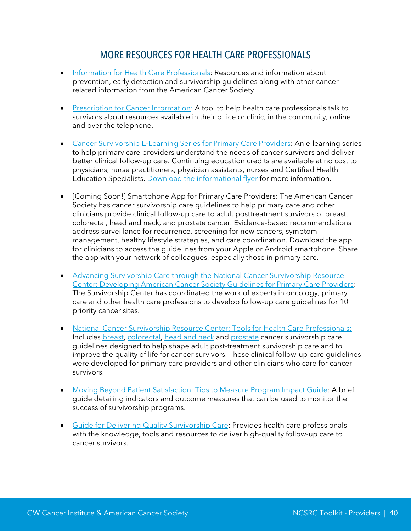### MORE RESOURCES FOR HEALTH CARE PROFESSIONALS

- <span id="page-40-0"></span>• [Information for Health Care Professionals:](http://www.cancer.org/healthy/informationforhealthcareprofessionals/index) Resources and information about prevention, early detection and survivorship guidelines along with other cancerrelated information from the American Cancer Society.
- [Prescription for Cancer Information:](http://www.cancer.org/Treatment/SurvivorshipDuringandAfterTreatment/NationalCancerSurvivorshipResourceCenter/ToolsForHealthCareProfessionals/prescription-for-cancer-information) A tool to help health care professionals talk to survivors about resources available in their office or clinic, in the community, online and over the telephone.
- Cancer Survivorship E-[Learning Series for Primary Care Providers:](http://gwcehp.learnercommunity.com/elearning-series) An e-learning series to help primary care providers understand the needs of cancer survivors and deliver better clinical follow-up care. Continuing education credits are available at no cost to physicians, nurse practitioners, physician assistants, nurses and Certified Health Education Specialists. [Download the informational flyer](https://smhs.gwu.edu/gwci/sites/gwci/files/Feb%202016_E-Learning%20Series%20Updated%20Flyer.pdf) for more information.
- [Coming Soon!] Smartphone App for Primary Care Providers: The American Cancer Society has cancer survivorship care guidelines to help primary care and other clinicians provide clinical follow-up care to adult posttreatment survivors of breast, colorectal, head and neck, and prostate cancer. Evidence-based recommendations address surveillance for recurrence, screening for new cancers, symptom management, healthy lifestyle strategies, and care coordination. Download the app for clinicians to access the guidelines from your Apple or Android smartphone. Share the app with your network of colleagues, especially those in primary care.
- Advancing Survivorship Care through [the National Cancer Survivorship Resource](http://onlinelibrary.wiley.com/doi/10.3322/caac.21183/pdf)  [Center: Developing American Cancer Society Guidelines for Primary Care Providers:](http://onlinelibrary.wiley.com/doi/10.3322/caac.21183/pdf) The Survivorship Center has coordinated the work of experts in oncology, primary care and other health care professions to develop follow-up care guidelines for 10 priority cancer sites.
- [National Cancer Survivorship Resource Center: Tools for Health Care Professionals:](http://cancer.org/treatment/survivorshipduringandaftertreatment/nationalcancersurvivorshipresourcecenter/toolsforhealthcareprofessionals/index) Includes [breast,](http://onlinelibrary.wiley.com/doi/10.3322/caac.21319/full) [colorectal,](http://onlinelibrary.wiley.com/doi/10.3322/caac.21286/full) [head and neck](http://bit.ly/acsheadneck) and [prostate](http://bit.ly/ACSPrCa) cancer survivorship care guidelines designed to help shape adult post-treatment survivorship care and to improve the quality of life for cancer survivors. These clinical follow-up care guidelines were developed for primary care providers and other clinicians who care for cancer survivors.
- [Moving Beyond Patient Satisfaction: Tips to Measure Program Impact Guide:](http://www.cancer.org/Treatment/SurvivorshipDuringandAfterTreatment/NationalCancerSurvivorshipResourceCenter/ToolsForHealthCareProfessionals/moving-beyond-patient-satisfaction) A brief guide detailing indicators and outcome measures that can be used to monitor the success of survivorship programs.
- [Guide for Delivering Quality Survivorship Care:](http://smhs.gwu.edu/gwci/sites/gwci/files/Guide_for_Delivering_Quality_Survivorship_Care_FINAL.pdf) Provides health care professionals with the knowledge, tools and resources to deliver high-quality follow-up care to cancer survivors.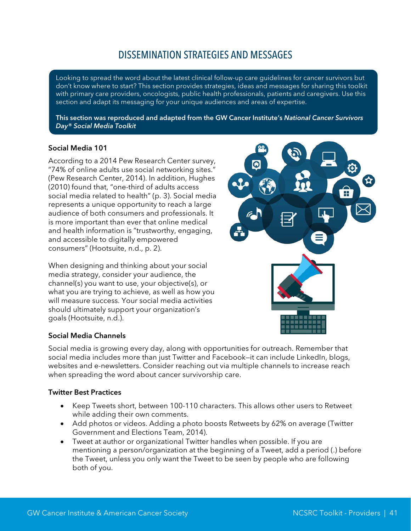### DISSEMINATION STRATEGIES AND MESSAGES

<span id="page-41-0"></span>Looking to spread the word about the latest clinical follow-up care guidelines for cancer survivors but don't know where to start? This section provides strategies, ideas and messages for sharing this toolkit with primary care providers, oncologists, public health professionals, patients and caregivers. Use this section and adapt its messaging for your unique audiences and areas of expertise.

This section was reproduced and adapted from the GW Cancer Institute's *National Cancer Survivors Day® Social Media Toolkit*

#### Social Media 101

According to a 2014 Pew Research Center survey, "74% of online adults use social networking sites." (Pew Research Center, 2014). In addition, Hughes (2010) found that, "one-third of adults access social media related to health" (p. 3). Social media represents a unique opportunity to reach a large audience of both consumers and professionals. It is more important than ever that online medical and health information is "trustworthy, engaging, and accessible to digitally empowered consumers" (Hootsuite, n.d., p. 2).

When designing and thinking about your social media strategy, consider your audience, the channel(s) you want to use, your objective(s), or what you are trying to achieve, as well as how you will measure success. Your social media activities should ultimately support your organization's goals (Hootsuite, n.d.).

#### Social Media Channels

Social media is growing every day, along with opportunities for outreach. Remember that social media includes more than just Twitter and Facebook-it can include LinkedIn, blogs, websites and e-newsletters. Consider reaching out via multiple channels to increase reach when spreading the word about cancer survivorship care.

#### Twitter Best Practices

- Keep Tweets short, between 100-110 characters. This allows other users to Retweet while adding their own comments.
- Add photos or videos. Adding a photo boosts Retweets by 62% on average (Twitter Government and Elections Team, 2014).
- Tweet at author or organizational Twitter handles when possible. If you are mentioning a person/organization at the beginning of a Tweet, add a period (.) before the Tweet, unless you only want the Tweet to be seen by people who are following both of you.

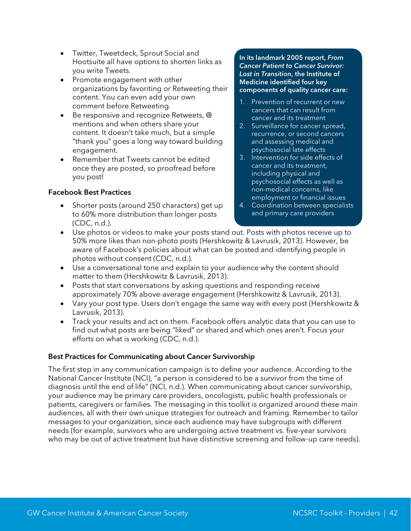- Twitter, Tweetdeck, Sprout Social and Hootsuite all have options to shorten links as you write Tweets.
- Promote engagement with other organizations by favoriting or Retweeting their content. You can even add your own comment before Retweeting.
- Be responsive and recognize Retweets, @ mentions and when others share your content. It doesn't take much, but a simple "thank you" goes a long way toward building engagement.
- Remember that Tweets cannot be edited once they are posted, so proofread before you post!

#### Facebook Best Practices

• Shorter posts (around 250 characters) get up to 60% more distribution than longer posts (CDC, n.d.).

#### In its landmark 2005 report, *From Cancer Patient to Cancer Survivor: Lost in Transition*, the Institute of Medicine identified four key components of quality cancer care:

- 1. Prevention of recurrent or new cancers that can result from cancer and its treatment
- 2. Surveillance for cancer spread, recurrence, or second cancers and assessing medical and psychosocial late effects
- 3. Intervention for side effects of cancer and its treatment, including physical and psychosocial effects as well as non-medical concerns, like employment or financial issues
- 4. Coordination between specialists and primary care providers
- Use photos or videos to make your posts stand out. Posts with photos receive up to 50% more likes than non-photo posts (Hershkowitz & Lavrusik, 2013). However, be aware of Facebook's policies about what can be posted and identifying people in photos without consent (CDC, n.d.).
- Use a conversational tone and explain to your audience why the content should matter to them (Hershkowitz & Lavrusik, 2013).
- Posts that start conversations by asking questions and responding receive approximately 70% above-average engagement (Hershkowitz & Lavrusik, 2013).
- Vary your post type. Users don't engage the same way with every post (Hershkowitz & Lavrusik, 2013).
- Track your results and act on them. Facebook offers analytic data that you can use to find out what posts are being "liked" or shared and which ones aren't. Focus your efforts on what is working (CDC, n.d.).

#### Best Practices for Communicating about Cancer Survivorship

The first step in any communication campaign is to define your audience. According to the National Cancer Institute (NCI), "a person is considered to be a survivor from the time of diagnosis until the end of life" (NCI, n.d.). When communicating about cancer survivorship, your audience may be primary care providers, oncologists, public health professionals or patients, caregivers or families. The messaging in this toolkit is organized around these main audiences, all with their own unique strategies for outreach and framing. Remember to tailor messages to your organization, since each audience may have subgroups with different needs (for example, survivors who are undergoing active treatment vs. five-year survivors who may be out of active treatment but have distinctive screening and follow-up care needs).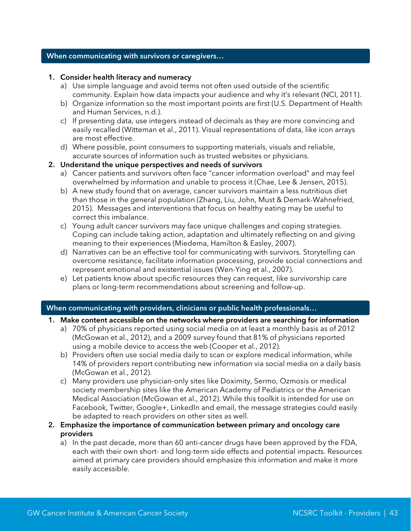#### When communicating with survivors or caregivers…

#### 1. Consider health literacy and numeracy

- a) Use simple language and avoid terms not often used outside of the scientific community. Explain how data impacts your audience and why it's relevant (NCI, 2011).
- b) Organize information so the most important points are first (U.S. Department of Health and Human Services, n.d.).
- c) If presenting data, use integers instead of decimals as they are more convincing and easily recalled (Witteman et al., 2011). Visual representations of data, like icon arrays are most effective.
- d) Where possible, point consumers to supporting materials, visuals and reliable, accurate sources of information such as trusted websites or physicians.

#### 2. Understand the unique perspectives and needs of survivors

- a) Cancer patients and survivors often face "cancer information overload" and may feel overwhelmed by information and unable to process it (Chae, Lee & Jensen, 2015).
- b) A new study found that on average, cancer survivors maintain a less nutritious diet than those in the general population (Zhang, Liu, John, Must & Demark-Wahnefried, 2015). Messages and interventions that focus on healthy eating may be useful to correct this imbalance.
- c) Young adult cancer survivors may face unique challenges and coping strategies. Coping can include taking action, adaptation and ultimately reflecting on and giving meaning to their experiences (Miedema, Hamilton & Easley, 2007).
- d) Narratives can be an effective tool for communicating with survivors. Storytelling can overcome resistance, facilitate information processing, provide social connections and represent emotional and existential issues (Wen-Ying et al., 2007).
- e) Let patients know about specific resources they can request, like survivorship care plans or long-term recommendations about screening and follow-up.

#### When communicating with providers, clinicians or public health professionals…

- 1. Make content accessible on the networks where providers are searching for information
	- a) 70% of physicians reported using social media on at least a monthly basis as of 2012 (McGowan et al., 2012), and a 2009 survey found that 81% of physicians reported using a mobile device to access the web (Cooper et al., 2012).
	- b) Providers often use social media daily to scan or explore medical information, while 14% of providers report contributing new information via social media on a daily basis (McGowan et al., 2012).
	- c) Many providers use physician-only sites like Doximity, Sermo, Ozmosis or medical society membership sites like the American Academy of Pediatrics or the American Medical Association (McGowan et al., 2012). While this toolkit is intended for use on Facebook, Twitter, Google+, LinkedIn and email, the message strategies could easily be adapted to reach providers on other sites as well.
- 2. Emphasize the importance of communication between primary and oncology care providers
	- a) In the past decade, more than 60 anti-cancer drugs have been approved by the FDA, each with their own short- and long-term side effects and potential impacts. Resources aimed at primary care providers should emphasize this information and make it more easily accessible.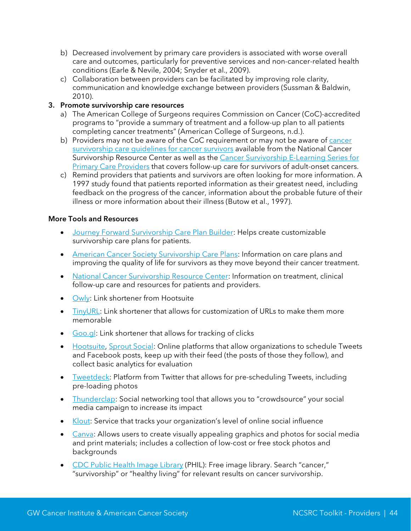- b) Decreased involvement by primary care providers is associated with worse overall care and outcomes, particularly for preventive services and non-cancer-related health conditions (Earle & Nevile, 2004; Snyder et al., 2009).
- c) Collaboration between providers can be facilitated by improving role clarity, communication and knowledge exchange between providers (Sussman & Baldwin, 2010).

#### 3. Promote survivorship care resources

- a) The American College of Surgeons requires Commission on Cancer (CoC)-accredited programs to "provide a summary of treatment and a follow-up plan to all patients completing cancer treatments" (American College of Surgeons, n.d.).
- b) Providers may not be aware of the CoC requirement or may not be aware of cancer survivorship care quidelines for cancer survivors available from the National Cancer Survivorship Resource Center as well as the Cancer Survivorship E-Learning Series for [Primary Care Providers](http://gwcehp.learnercommunity.com/elearning-series) that covers follow-up care for survivors of adult-onset cancers.
- c) Remind providers that patients and survivors are often looking for more information. A 1997 study found that patients reported information as their greatest need, including feedback on the progress of the cancer, information about the probable future of their illness or more information about their illness (Butow et al., 1997).

#### More Tools and Resources

- [Journey Forward Survivorship Care Plan Builder:](http://www.journeyforward.org/professionals/survivorship-care-plan-builder) Helps create customizable survivorship care plans for patients.
- [American Cancer Society Survivorship Care Plans:](http://www.cancer.org/treatment/survivorshipduringandaftertreatment/survivorshipcareplans/index) Information on care plans and improving the quality of life for survivors as they move beyond their cancer treatment.
- [National Cancer Survivorship Resource Center:](http://www.cancer.org/treatment/survivorshipduringandaftertreatment/nationalcancersurvivorshipresourcecenter/index) Information on treatment, clinical follow-up care and resources for patients and providers.
- [Owly:](http://ow.ly/url/shorten-url) Link shortener from Hootsuite
- [TinyURL:](http://tinyurl.com/) Link shortener that allows for customization of URLs to make them more memorable
- [Goo.gl:](https://goo.gl/) Link shortener that allows for tracking of clicks
- [Hootsuite,](https://hootsuite.com/) [Sprout Social:](http://sproutsocial.com/) Online platforms that allow organizations to schedule Tweets and Facebook posts, keep up with their feed (the posts of those they follow), and collect basic analytics for evaluation
- [Tweetdeck:](https://tweetdeck.twitter.com/) Platform from Twitter that allows for pre-scheduling Tweets, including pre-loading photos
- [Thunderclap:](https://www.thunderclap.it/) Social networking tool that allows you to "crowdsource" your social media campaign to increase its impact
- [Klout:](https://klout.com/home) Service that tracks your organization's level of online social influence
- [Canva:](http://www.canva.com/) Allows users to create visually appealing graphics and photos for social media and print materials; includes a collection of low-cost or free stock photos and backgrounds
- [CDC Public Health Image Library](http://phil.cdc.gov/phil/quicksearch.asp) (PHIL): Free image library. Search "cancer," "survivorship" or "healthy living" for relevant results on cancer survivorship.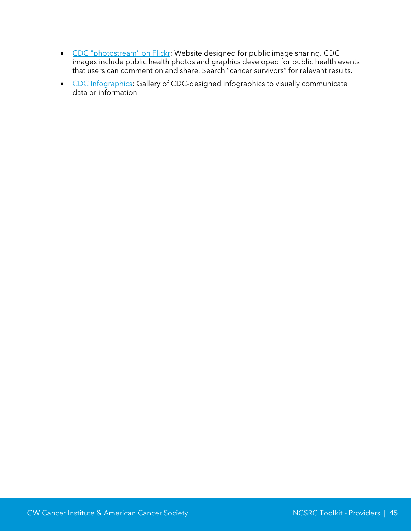- [CDC "photostream" on Flickr:](https://www.flickr.com/photos/CDCsocialmedia) Website designed for public image sharing. CDC images include public health photos and graphics developed for public health events that users can comment on and share. Search "cancer survivors" for relevant results.
- [CDC Infographics:](http://www.cdc.gov/socialmedia/tools/infographics.html) Gallery of CDC-designed infographics to visually communicate data or information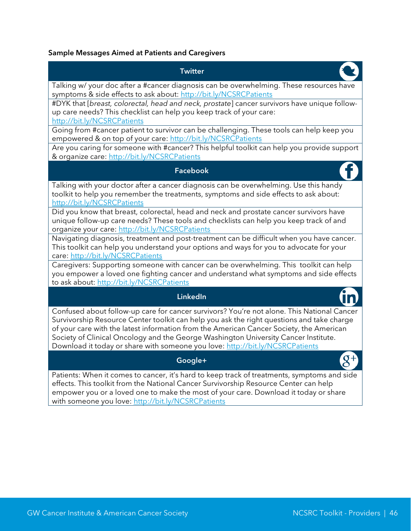#### Sample Messages Aimed at Patients and Caregivers

### **Twitter** Talking w/ your doc after a #cancer diagnosis can be overwhelming. These resources have symptoms & side effects to ask about:<http://bit.ly/NCSRCPatients> #DYK that [*breast, colorectal, head and neck, prostate*] cancer survivors have unique followup care needs? This checklist can help you keep track of your care: <http://bit.ly/NCSRCPatients> Going from #cancer patient to survivor can be challenging. These tools can help keep you empowered & on top of your care: <http://bit.ly/NCSRCPatients> Are you caring for someone with #cancer? This helpful toolkit can help you provide support & organize care: <http://bit.ly/NCSRCPatients> Facebook Talking with your doctor after a cancer diagnosis can be overwhelming. Use this handy toolkit to help you remember the treatments, symptoms and side effects to ask about: <http://bit.ly/NCSRCPatients> Did you know that breast, colorectal, head and neck and prostate cancer survivors have unique follow-up care needs? These tools and checklists can help you keep track of and organize your care:<http://bit.ly/NCSRCPatients> Navigating diagnosis, treatment and post-treatment can be difficult when you have cancer. This toolkit can help you understand your options and ways for you to advocate for your care:<http://bit.ly/NCSRCPatients> Caregivers: Supporting someone with cancer can be overwhelming. This toolkit can help you empower a loved one fighting cancer and understand what symptoms and side effects to ask about:<http://bit.ly/NCSRCPatients> LinkedIn Confused about follow-up care for cancer survivors? You're not alone. This National Cancer Survivorship Resource Center toolkit can help you ask the right questions and take charge of your care with the latest information from the American Cancer Society, the American Society of Clinical Oncology and the George Washington University Cancer Institute. Download it today or share with someone you love:<http://bit.ly/NCSRCPatients>

#### Google+

Patients: When it comes to cancer, it's hard to keep track of treatments, symptoms and side effects. This toolkit from the National Cancer Survivorship Resource Center can help empower you or a loved one to make the most of your care. Download it today or share with someone you love: <http://bit.ly/NCSRCPatients>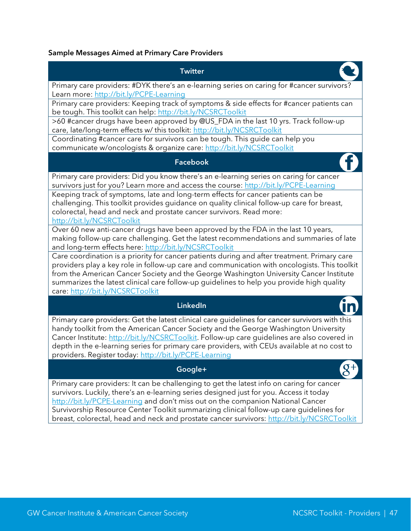### Sample Messages Aimed at Primary Care Providers

| <b>Twitter</b>                                                                                                                                                                                                                                                                                                                                                                                                                                 |
|------------------------------------------------------------------------------------------------------------------------------------------------------------------------------------------------------------------------------------------------------------------------------------------------------------------------------------------------------------------------------------------------------------------------------------------------|
| Primary care providers: #DYK there's an e-learning series on caring for #cancer survivors?<br>Learn more: http://bit.ly/PCPE-Learning                                                                                                                                                                                                                                                                                                          |
| Primary care providers: Keeping track of symptoms & side effects for #cancer patients can<br>be tough. This toolkit can help: http://bit.ly/NCSRCToolkit                                                                                                                                                                                                                                                                                       |
| >60 #cancer drugs have been approved by @US_FDA in the last 10 yrs. Track follow-up<br>care, late/long-term effects w/ this toolkit: http://bit.ly/NCSRCToolkit                                                                                                                                                                                                                                                                                |
| Coordinating #cancer care for survivors can be tough. This guide can help you<br>communicate w/oncologists & organize care: http://bit.ly/NCSRCToolkit                                                                                                                                                                                                                                                                                         |
| <b>Facebook</b>                                                                                                                                                                                                                                                                                                                                                                                                                                |
| Primary care providers: Did you know there's an e-learning series on caring for cancer<br>survivors just for you? Learn more and access the course: http://bit.ly/PCPE-Learning                                                                                                                                                                                                                                                                |
| Keeping track of symptoms, late and long-term effects for cancer patients can be<br>challenging. This toolkit provides guidance on quality clinical follow-up care for breast,<br>colorectal, head and neck and prostate cancer survivors. Read more:<br>http://bit.ly/NCSRCToolkit                                                                                                                                                            |
| Over 60 new anti-cancer drugs have been approved by the FDA in the last 10 years,<br>making follow-up care challenging. Get the latest recommendations and summaries of late<br>and long-term effects here: http://bit.ly/NCSRCToolkit                                                                                                                                                                                                         |
| Care coordination is a priority for cancer patients during and after treatment. Primary care<br>providers play a key role in follow-up care and communication with oncologists. This toolkit<br>from the American Cancer Society and the George Washington University Cancer Institute<br>summarizes the latest clinical care follow-up guidelines to help you provide high quality<br>care: http://bit.ly/NCSRCToolkit                        |
| <b>LinkedIn</b>                                                                                                                                                                                                                                                                                                                                                                                                                                |
| Primary care providers: Get the latest clinical care guidelines for cancer survivors with this<br>handy toolkit from the American Cancer Society and the George Washington University<br>Cancer Institute: http://bit.ly/NCSRCToolkit. Follow-up care guidelines are also covered in<br>depth in the e-learning series for primary care providers, with CEUs available at no cost to<br>providers. Register today: http://bit.ly/PCPE-Learning |
| Google+                                                                                                                                                                                                                                                                                                                                                                                                                                        |

Primary care providers: It can be challenging to get the latest info on caring for cancer survivors. Luckily, there's an e-learning series designed just for you. Access it today <http://bit.ly/PCPE-Learning> and don't miss out on the companion National Cancer Survivorship Resource Center Toolkit summarizing clinical follow-up care guidelines for breast, colorectal, head and neck and prostate cancer survivors: <u>http://bit.ly/NCSRCToolkit</u>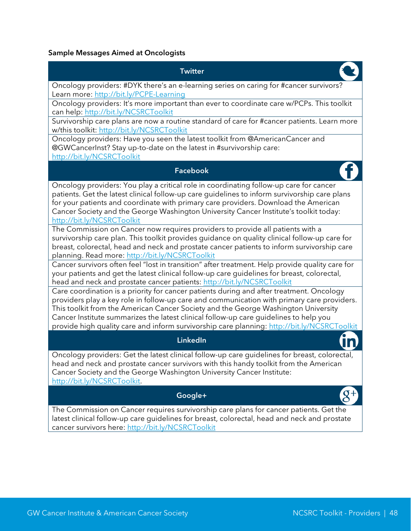#### Sample Messages Aimed at Oncologists

### **Twitter** Oncology providers: #DYK there's an e-learning series on caring for #cancer survivors? Learn more:<http://bit.ly/PCPE-Learning> Oncology providers: It's more important than ever to coordinate care w/PCPs. This toolkit can help:<http://bit.ly/NCSRCToolkit> Survivorship care plans are now a routine standard of care for #cancer patients. Learn more w/this toolkit:<http://bit.ly/NCSRCToolkit> Oncology providers: Have you seen the latest toolkit from @AmericanCancer and @GWCancerInst? Stay up-to-date on the latest in #survivorship care: <http://bit.ly/NCSRCToolkit> Facebook Oncology providers: You play a critical role in coordinating follow-up care for cancer patients. Get the latest clinical follow-up care guidelines to inform survivorship care plans for your patients and coordinate with primary care providers. Download the American Cancer Society and the George Washington University Cancer Institute's toolkit today: <http://bit.ly/NCSRCToolkit> The Commission on Cancer now requires providers to provide all patients with a survivorship care plan. This toolkit provides guidance on quality clinical follow-up care for breast, colorectal, head and neck and prostate cancer patients to inform survivorship care planning. Read more:<http://bit.ly/NCSRCToolkit> Cancer survivors often feel "lost in transition" after treatment. Help provide quality care for your patients and get the latest clinical follow-up care guidelines for breast, colorectal, head and neck and prostate cancer patients: <http://bit.ly/NCSRCToolkit> Care coordination is a priority for cancer patients during and after treatment. Oncology providers play a key role in follow-up care and communication with primary care providers. This toolkit from the American Cancer Society and the George Washington University Cancer Institute summarizes the latest clinical follow-up care guidelines to help you provide high quality care and inform survivorship care planning:<http://bit.ly/NCSRCToolkit> LinkedIn Oncology providers: Get the latest clinical follow-up care guidelines for breast, colorectal, head and neck and prostate cancer survivors with this handy toolkit from the American Cancer Society and the George Washington University Cancer Institute: [http://bit.ly/NCSRCToolkit.](http://bit.ly/NCSRCToolkit) Google+ The Commission on Cancer requires survivorship care plans for cancer patients. Get the

latest clinical follow-up care guidelines for breast, colorectal, head and neck and prostate cancer survivors here: <http://bit.ly/NCSRCToolkit>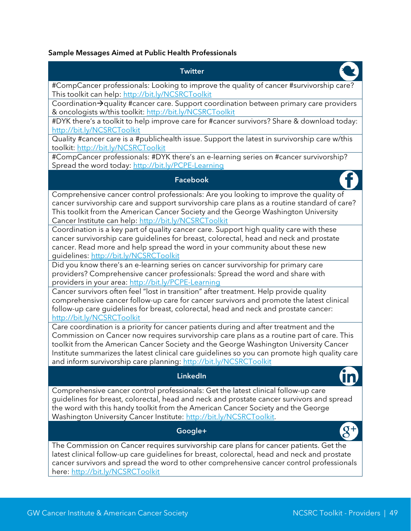#### Sample Messages Aimed at Public Health Professionals

### **Twitter** #CompCancer professionals: Looking to improve the quality of cancer #survivorship care? This toolkit can help:<http://bit.ly/NCSRCToolkit> Coordination $\rightarrow$ quality #cancer care. Support coordination between primary care providers & oncologists w/this toolkit:<http://bit.ly/NCSRCToolkit> #DYK there's a toolkit to help improve care for #cancer survivors? Share & download today: <http://bit.ly/NCSRCToolkit> Quality #cancer care is a #publichealth issue. Support the latest in survivorship care w/this toolkit:<http://bit.ly/NCSRCToolkit> #CompCancer professionals: #DYK there's an e-learning series on #cancer survivorship? Spread the word today:<http://bit.ly/PCPE-Learning> Facebook Comprehensive cancer control professionals: Are you looking to improve the quality of cancer survivorship care and support survivorship care plans as a routine standard of care? This toolkit from the American Cancer Society and the George Washington University Cancer Institute can help:<http://bit.ly/NCSRCToolkit> Coordination is a key part of quality cancer care. Support high quality care with these cancer survivorship care guidelines for breast, colorectal, head and neck and prostate cancer. Read more and help spread the word in your community about these new guidelines:<http://bit.ly/NCSRCToolkit> Did you know there's an e-learning series on cancer survivorship for primary care providers? Comprehensive cancer professionals: Spread the word and share with providers in your area:<http://bit.ly/PCPE-Learning> Cancer survivors often feel "lost in transition" after treatment. Help provide quality comprehensive cancer follow-up care for cancer survivors and promote the latest clinical follow-up care guidelines for breast, colorectal, head and neck and prostate cancer: <http://bit.ly/NCSRCToolkit> Care coordination is a priority for cancer patients during and after treatment and the Commission on Cancer now requires survivorship care plans as a routine part of care. This toolkit from the American Cancer Society and the George Washington University Cancer Institute summarizes the latest clinical care guidelines so you can promote high quality care and inform survivorship care planning:<http://bit.ly/NCSRCToolkit> LinkedIn Comprehensive cancer control professionals: Get the latest clinical follow-up care guidelines for breast, colorectal, head and neck and prostate cancer survivors and spread the word with this handy toolkit from the American Cancer Society and the George Washington University Cancer Institute: [http://bit.ly/NCSRCToolkit.](http://bit.ly/NCSRCToolkit) Google+ The Commission on Cancer requires survivorship care plans for cancer patients. Get the latest clinical follow-up care guidelines for breast, colorectal, head and neck and prostate cancer survivors and spread the word to other comprehensive cancer control professionals here:<http://bit.ly/NCSRCToolkit>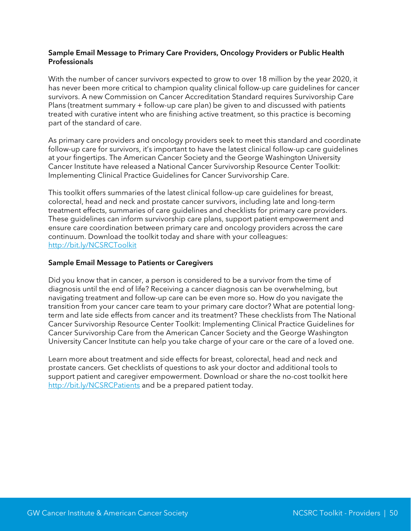#### Sample Email Message to Primary Care Providers, Oncology Providers or Public Health Professionals

With the number of cancer survivors expected to grow to over 18 million by the year 2020, it has never been more critical to champion quality clinical follow-up care guidelines for cancer survivors. A new Commission on Cancer Accreditation Standard requires Survivorship Care Plans (treatment summary + follow-up care plan) be given to and discussed with patients treated with curative intent who are finishing active treatment, so this practice is becoming part of the standard of care.

As primary care providers and oncology providers seek to meet this standard and coordinate follow-up care for survivors, it's important to have the latest clinical follow-up care guidelines at your fingertips. The American Cancer Society and the George Washington University Cancer Institute have released a National Cancer Survivorship Resource Center Toolkit: Implementing Clinical Practice Guidelines for Cancer Survivorship Care.

This toolkit offers summaries of the latest clinical follow-up care guidelines for breast, colorectal, head and neck and prostate cancer survivors, including late and long-term treatment effects, summaries of care guidelines and checklists for primary care providers. These guidelines can inform survivorship care plans, support patient empowerment and ensure care coordination between primary care and oncology providers across the care continuum. Download the toolkit today and share with your colleagues: <http://bit.ly/NCSRCToolkit>

#### Sample Email Message to Patients or Caregivers

Did you know that in cancer, a person is considered to be a survivor from the time of diagnosis until the end of life? Receiving a cancer diagnosis can be overwhelming, but navigating treatment and follow-up care can be even more so. How do you navigate the transition from your cancer care team to your primary care doctor? What are potential longterm and late side effects from cancer and its treatment? These checklists from The National Cancer Survivorship Resource Center Toolkit: Implementing Clinical Practice Guidelines for Cancer Survivorship Care from the American Cancer Society and the George Washington University Cancer Institute can help you take charge of your care or the care of a loved one.

Learn more about treatment and side effects for breast, colorectal, head and neck and prostate cancers. Get checklists of questions to ask your doctor and additional tools to support patient and caregiver empowerment. Download or share the no-cost toolkit here <http://bit.ly/NCSRCPatients> and be a prepared patient today.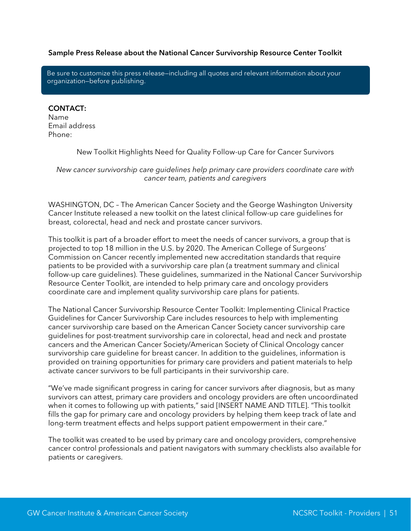#### Sample Press Release about the National Cancer Survivorship Resource Center Toolkit

Be sure to customize this press release—including all quotes and relevant information about your organization—before publishing.

#### CONTACT:

Name Email address Phone:

New Toolkit Highlights Need for Quality Follow-up Care for Cancer Survivors

*New cancer survivorship care guidelines help primary care providers coordinate care with cancer team, patients and caregivers*

WASHINGTON, DC – The American Cancer Society and the George Washington University Cancer Institute released a new toolkit on the latest clinical follow-up care guidelines for breast, colorectal, head and neck and prostate cancer survivors.

This toolkit is part of a broader effort to meet the needs of cancer survivors, a group that is projected to top 18 million in the U.S. by 2020. The American College of Surgeons' Commission on Cancer recently implemented new accreditation standards that require patients to be provided with a survivorship care plan (a treatment summary and clinical follow-up care guidelines). These guidelines, summarized in the National Cancer Survivorship Resource Center Toolkit, are intended to help primary care and oncology providers coordinate care and implement quality survivorship care plans for patients.

The National Cancer Survivorship Resource Center Toolkit: Implementing Clinical Practice Guidelines for Cancer Survivorship Care includes resources to help with implementing cancer survivorship care based on the American Cancer Society cancer survivorship care guidelines for post-treatment survivorship care in colorectal, head and neck and prostate cancers and the American Cancer Society/American Society of Clinical Oncology cancer survivorship care guideline for breast cancer. In addition to the guidelines, information is provided on training opportunities for primary care providers and patient materials to help activate cancer survivors to be full participants in their survivorship care.

"We've made significant progress in caring for cancer survivors after diagnosis, but as many survivors can attest, primary care providers and oncology providers are often uncoordinated when it comes to following up with patients," said [INSERT NAME AND TITLE]. "This toolkit fills the gap for primary care and oncology providers by helping them keep track of late and long-term treatment effects and helps support patient empowerment in their care."

The toolkit was created to be used by primary care and oncology providers, comprehensive cancer control professionals and patient navigators with summary checklists also available for patients or caregivers.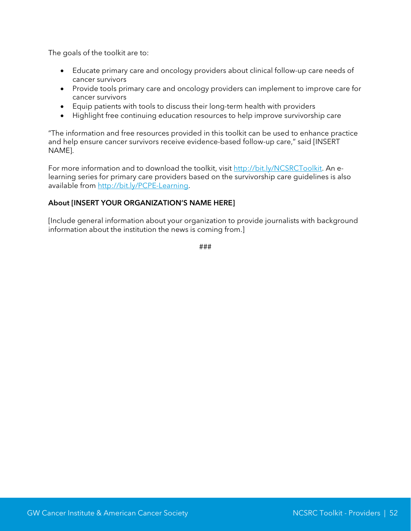The goals of the toolkit are to:

- Educate primary care and oncology providers about clinical follow-up care needs of cancer survivors
- Provide tools primary care and oncology providers can implement to improve care for cancer survivors
- Equip patients with tools to discuss their long-term health with providers
- Highlight free continuing education resources to help improve survivorship care

"The information and free resources provided in this toolkit can be used to enhance practice and help ensure cancer survivors receive evidence-based follow-up care," said [INSERT NAME].

For more information and to download the toolkit, visit [http://bit.ly/NCSRCToolkit.](http://bit.ly/NCSRCToolkit) An elearning series for primary care providers based on the survivorship care guidelines is also available from [http://bit.ly/PCPE-Learning.](http://bit.ly/PCPE-Learning)

#### About [INSERT YOUR ORGANIZATION'S NAME HERE]

[Include general information about your organization to provide journalists with background information about the institution the news is coming from.]

###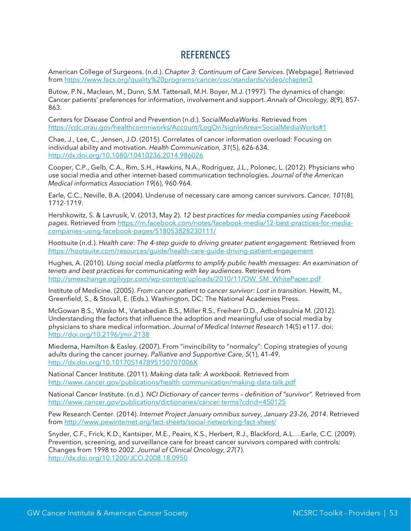### **REFERENCES**

<span id="page-53-0"></span>American College of Surgeons. (n.d.). *Chapter 3: Continuum of Care Services*. [Webpage]. Retrieved from<https://www.facs.org/quality%20programs/cancer/coc/standards/video/chapter3>

Butow, P.N., Maclean, M., Dunn, S.M. Tattersall, M.H. Boyer, M.J. (1997). The dynamics of change: Cancer patients' preferences for information, involvement and support. *Annals of Oncology, 8*(9), 857- 863.

Centers for Disease Control and Prevention (n.d.). *SocialMediaWorks*. Retrieved from <https://cdc.orau.gov/healthcommworks/Account/LogOn?signInArea=SocialMediaWorks#1>

Chae, J., Lee, C., Jensen, J.D. (2015). Correlates of cancer information overload: Focusing on individual ability and motivation. *Health Communication, 31*(5), 626-634. <http://dx.doi.org/10.1080/10410236.2014.986026>

Cooper, C.P., Gelb, C.A., Rim, S.H., Hawkins, N.A., Rodriguez, J.L., Polonec, L. (2012). Physicians who use social media and other internet-based communication technologies. *Journal of the American Medical informatics Association 19*(6), 960-964.

Earle, C.C., Neville, B.A. (2004). Underuse of necessary care among cancer survivors. *Cancer, 101*(8), 1712-1719.

Hershkowitz, S. & Lavrusik, V. (2013, May 2). *12 best practices for media companies using Facebook pages*. Retrieved from [https://m.facebook.com/notes/facebook-media/12-best-practices-for-media](https://m.facebook.com/notes/facebook-media/12-best-practices-for-media-companies-using-facebook-pages/518053828230111/)[companies-using-facebook-pages/518053828230111/](https://m.facebook.com/notes/facebook-media/12-best-practices-for-media-companies-using-facebook-pages/518053828230111/)

Hootsuite (n.d.). *Health care: The 4-step guide to driving greater patient engagement.* Retrieved from <https://hootsuite.com/resources/guide/health-care-guide-driving-patient-engagement>

Hughes, A. (2010). *Using social media platforms to amplify public health messages: An examination of tenets and best practices for communicating with key audiences*. Retrieved from [http://smexchange.ogilvypr.com/wp-content/uploads/2010/11/OW\\_SM\\_WhitePaper.pdf](http://smexchange.ogilvypr.com/wp-content/uploads/2010/11/OW_SM_WhitePaper.pdf)

Institute of Medicine. (2005). *From cancer patient to cancer survivor: Lost in transition*. Hewitt, M., Greenfield, S., & Stovall, E. (Eds.). Washington, DC: The National Academies Press.

McGowan B.S., Wasko M., Vartabedian B.S., Miller R.S., Freiherr D.D., Adbolrasulnia M. (2012). Understanding the factors that influence the adoption and meaningful use of social media by physicians to share medical information. *Journal of Medical Internet Research* 14(5) e117. doi: <http://doi.org/10.2196/jmir.2138>

Miedema, Hamilton & Easley. (2007). From "invincibility to "normalcy": Coping strategies of young adults during the cancer journey. *Palliative and Supportive Care, 5*(1), 41-49. <http://dx.doi.org/10.10170S147895150707006X>

National Cancer Institute. (2011). *Making data talk: A workbook*. Retrieved from <http://www.cancer.gov/publications/health-communication/making-data-talk.pdf>

National Cancer Institute. (n.d.). *NCI Dictionary of cancer terms – definition of "survivor".* Retrieved from <http://www.cancer.gov/publications/dictionaries/cancer-terms?cdrid=450125>

Pew Research Center. (2014). *Internet Project January omnibus survey, January 23-26, 2014*. Retrieved from<http://www.pewinternet.org/fact-sheets/social-networking-fact-sheet/>

Snyder, C.F., Frick, K.D., Kantsiper, M.E., Peairs, K.S., Herbert, R.J., Blackford, A.L….Earle, C.C. (2009). Prevention, screening, and surveillance care for breast cancer survivors compared with controls: Changes from 1998 to 2002. *Journal of Clinical Oncology, 27*(7). <http://dx.doi.org/10.1200/JCO.2008.18.0950>